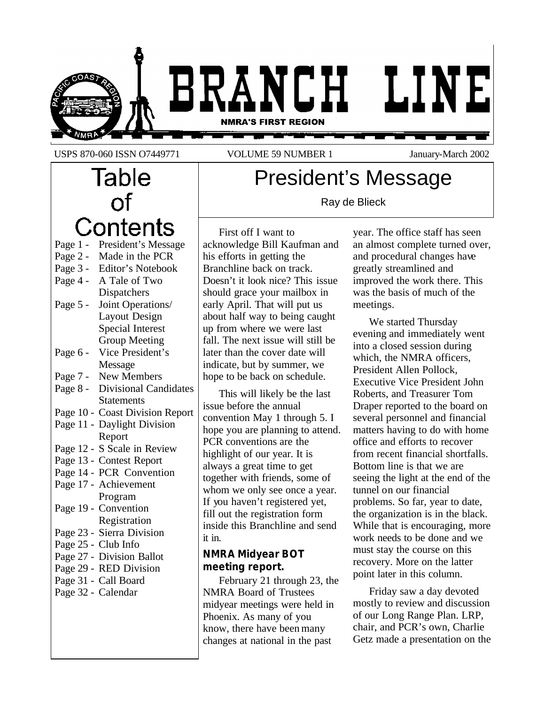

USPS 870-060 ISSN O7449771 VOLUME 59 NUMBER 1 January-March 2002

Table

of

## President's Message

Ray de Blieck

**Contents** Page 1 - President's Message Page 2 - Made in the PCR Page 3 - Editor's Notebook Page 4 - A Tale of Two Dispatchers Page 5 - Joint Operations/ Layout Design Special Interest Group Meeting Page 6 - Vice President's Message Page 7 - New Members Page 8 - Divisional Candidates **Statements** Page 10 - Coast Division Report Page 11 - Daylight Division Report Page 12 - S Scale in Review Page 13 - Contest Report Page 14 - PCR Convention Page 17 - Achievement Program Page 19 - Convention Registration Page 23 - Sierra Division Page 25 - Club Info Page 27 - Division Ballot Page 29 - RED Division Page 31 - Call Board Page 32 - Calendar

First off I want to acknowledge Bill Kaufman and his efforts in getting the Branchline back on track. Doesn't it look nice? This issue should grace your mailbox in early April. That will put us about half way to being caught up from where we were last fall. The next issue will still be later than the cover date will indicate, but by summer, we hope to be back on schedule.

This will likely be the last issue before the annual convention May 1 through 5. I hope you are planning to attend. PCR conventions are the highlight of our year. It is always a great time to get together with friends, some of whom we only see once a year. If you haven't registered yet, fill out the registration form inside this Branchline and send it in.

#### **NMRA Midyear BOT meeting report.**

February 21 through 23, the NMRA Board of Trustees midyear meetings were held in Phoenix. As many of you know, there have been many changes at national in the past

year. The office staff has seen an almost complete turned over, and procedural changes have greatly streamlined and improved the work there. This was the basis of much of the meetings.

We started Thursday evening and immediately went into a closed session during which, the NMRA officers, President Allen Pollock, Executive Vice President John Roberts, and Treasurer Tom Draper reported to the board on several personnel and financial matters having to do with home office and efforts to recover from recent financial shortfalls. Bottom line is that we are seeing the light at the end of the tunnel on our financial problems. So far, year to date, the organization is in the black. While that is encouraging, more work needs to be done and we must stay the course on this recovery. More on the latter point later in this column.

Friday saw a day devoted mostly to review and discussion of our Long Range Plan. LRP, chair, and PCR's own, Charlie Getz made a presentation on the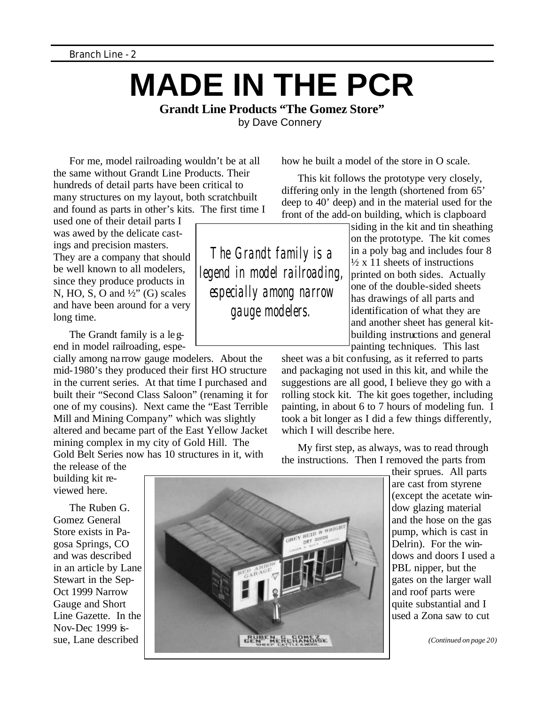# **MADE IN THE PCR**

#### **Grandt Line Products "The Gomez Store"** by Dave Connery

For me, model railroading wouldn't be at all the same without Grandt Line Products. Their hundreds of detail parts have been critical to many structures on my layout, both scratchbuilt and found as parts in other's kits. The first time I

used one of their detail parts I was awed by the delicate castings and precision masters. They are a company that should be well known to all modelers, since they produce products in N, HO, S, O and  $\frac{1}{2}$  (G) scales and have been around for a very long time.

The Grandt family is a legend in model railroading, espe-

cially among narrow gauge modelers. About the mid-1980's they produced their first HO structure in the current series. At that time I purchased and built their "Second Class Saloon" (renaming it for one of my cousins). Next came the "East Terrible Mill and Mining Company" which was slightly altered and became part of the East Yellow Jacket mining complex in my city of Gold Hill. The

Gold Belt Series now has 10 structures in it, with the release of the

building kit reviewed here.

The Ruben G. Gomez General Store exists in Pagosa Springs, CO and was described in an article by Lane Stewart in the Sep-Oct 1999 Narrow Gauge and Short Line Gazette. In the Nov-Dec 1999 issue, Lane described



how he built a model of the store in O scale.

This kit follows the prototype very closely, differing only in the length (shortened from 65' deep to 40' deep) and in the material used for the front of the add-on building, which is clapboard

> siding in the kit and tin sheathing on the prototype. The kit comes in a poly bag and includes four 8  $\frac{1}{2}$  x 11 sheets of instructions printed on both sides. Actually one of the double-sided sheets has drawings of all parts and identification of what they are and another sheet has general kitbuilding instructions and general painting techniques. This last

sheet was a bit confusing, as it referred to parts and packaging not used in this kit, and while the suggestions are all good, I believe they go with a rolling stock kit. The kit goes together, including painting, in about 6 to 7 hours of modeling fun. I took a bit longer as I did a few things differently, which I will describe here.

My first step, as always, was to read through the instructions. Then I removed the parts from

> their sprues. All parts are cast from styrene (except the acetate window glazing material and the hose on the gas pump, which is cast in Delrin). For the windows and doors I used a PBL nipper, but the gates on the larger wall and roof parts were quite substantial and I used a Zona saw to cut

> > *(Continued on page 20)*

*The Grandt family is a legend in model railroading, especially among narrow gauge modelers.*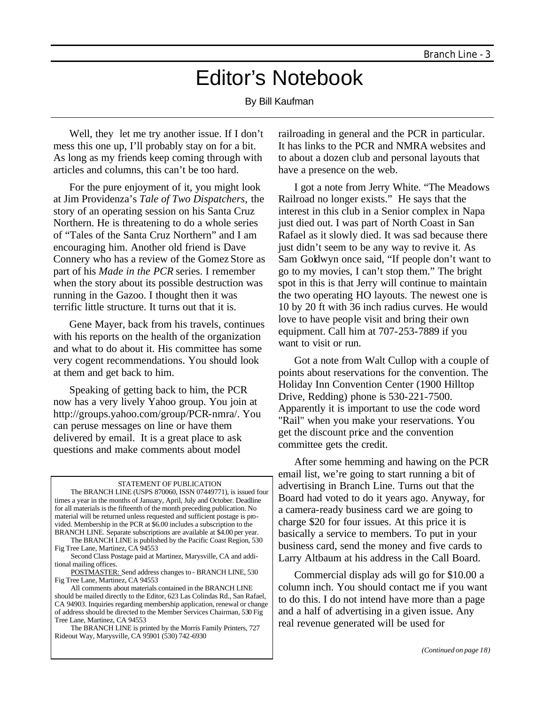### Editor's Notebook

By Bill Kaufman

Well, they let me try another issue. If I don't mess this one up, I'll probably stay on for a bit. As long as my friends keep coming through with articles and columns, this can't be too hard.

For the pure enjoyment of it, you might look at Jim Providenza's *Tale of Two Dispatchers*, the story of an operating session on his Santa Cruz Northern. He is threatening to do a whole series of "Tales of the Santa Cruz Northern" and I am encouraging him. Another old friend is Dave Connery who has a review of the Gomez Store as part of his *Made in the PCR* series. I remember when the story about its possible destruction was running in the Gazoo. I thought then it was terrific little structure. It turns out that it is.

Gene Mayer, back from his travels, continues with his reports on the health of the organization and what to do about it. His committee has some very cogent recommendations. You should look at them and get back to him.

Speaking of getting back to him, the PCR now has a very lively Yahoo group. You join at http://groups.yahoo.com/group/PCR-nmra/. You can peruse messages on line or have them delivered by email. It is a great place to ask questions and make comments about model

#### STATEMENT OF PUBLICATION

The BRANCH LINE (USPS 870060, ISSN 07449771), is issued four times a year in the months of January, April, July and October. Deadline for all materials is the fifteenth of the month preceding publication. No material will be returned unless requested and sufficient postage is provided. Membership in the PCR at \$6.00 includes a subscription to the BRANCH LINE. Separate subscriptions are available at \$4.00 per year.

The BRANCH LINE is published by the Pacific Coast Region, 530 Fig Tree Lane, Martinez, CA 94553

POSTMASTER: Send address changes to - BRANCH LINE, 530 Fig Tree Lane, Martinez, CA 94553

All comments about materials contained in the BRANCH LINE should be mailed directly to the Editor, 623 Las Colindas Rd., San Rafael, CA 94903. Inquiries regarding membership application, renewal or change of address should be directed to the Member Services Chairman, 530 Fig Tree Lane, Martinez, CA 94553

The BRANCH LINE is printed by the Morris Family Printers, 727 Rideout Way, Marysville, CA 95901 (530) 742-6930

railroading in general and the PCR in particular. It has links to the PCR and NMRA websites and to about a dozen club and personal layouts that have a presence on the web.

I got a note from Jerry White. "The Meadows Railroad no longer exists." He says that the interest in this club in a Senior complex in Napa just died out. I was part of North Coast in San Rafael as it slowly died. It was sad because there just didn't seem to be any way to revive it. As Sam Goldwyn once said, "If people don't want to go to my movies, I can't stop them." The bright spot in this is that Jerry will continue to maintain the two operating HO layouts. The newest one is 10 by 20 ft with 36 inch radius curves. He would love to have people visit and bring their own equipment. Call him at 707-253-7889 if you want to visit or run.

Got a note from Walt Cullop with a couple of points about reservations for the convention. The Holiday Inn Convention Center (1900 Hilltop Drive, Redding) phone is 530-221-7500. Apparently it is important to use the code word "Rail" when you make your reservations. You get the discount price and the convention committee gets the credit.

After some hemming and hawing on the PCR email list, we're going to start running a bit of advertising in Branch Line. Turns out that the Board had voted to do it years ago. Anyway, for a camera-ready business card we are going to charge \$20 for four issues. At this price it is basically a service to members. To put in your business card, send the money and five cards to Larry Altbaum at his address in the Call Board.

Commercial display ads will go for \$10.00 a column inch. You should contact me if you want to do this. I do not intend have more than a page and a half of advertising in a given issue. Any real revenue generated will be used for

*(Continued on page 18)*

Second Class Postage paid at Martinez, Marysville, CA and additional mailing offices.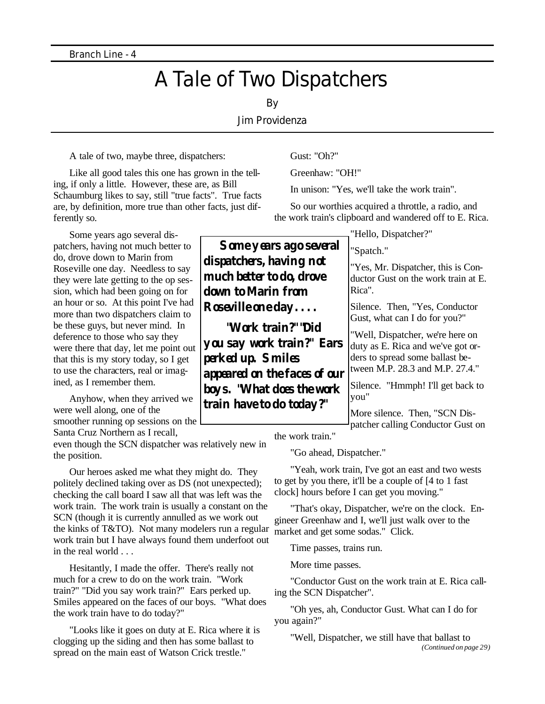## A Tale of Two Dispatchers

By

#### Jim Providenza

A tale of two, maybe three, dispatchers:

Like all good tales this one has grown in the telling, if only a little. However, these are, as Bill Schaumburg likes to say, still "true facts". True facts are, by definition, more true than other facts, just differently so.

Some years ago several dispatchers, having not much better to do, drove down to Marin from Roseville one day. Needless to say they were late getting to the op session, which had been going on for an hour or so. At this point I've had more than two dispatchers claim to be these guys, but never mind. In deference to those who say they were there that day, let me point out that this is my story today, so I get to use the characters, real or imagined, as I remember them.

Anyhow, when they arrived we were well along, one of the smoother running op sessions on the Santa Cruz Northern as I recall,

even though the SCN dispatcher was relatively new in the position.

Our heroes asked me what they might do. They politely declined taking over as DS (not unexpected); checking the call board I saw all that was left was the work train. The work train is usually a constant on the SCN (though it is currently annulled as we work out the kinks of T&TO). Not many modelers run a regular work train but I have always found them underfoot out in the real world . . .

Hesitantly, I made the offer. There's really not much for a crew to do on the work train. "Work train?" "Did you say work train?" Ears perked up. Smiles appeared on the faces of our boys. "What does the work train have to do today?"

"Looks like it goes on duty at E. Rica where it is clogging up the siding and then has some ballast to spread on the main east of Watson Crick trestle."

Gust: "Oh?"

Greenhaw: "OH!"

In unison: "Yes, we'll take the work train".

So our worthies acquired a throttle, a radio, and the work train's clipboard and wandered off to E. Rica.

"Hello, Dispatcher?"

"Spatch."

"Yes, Mr. Dispatcher, this is Conductor Gust on the work train at E. Rica".

Silence. Then, "Yes, Conductor Gust, what can I do for you?"

"Well, Dispatcher, we're here on duty as E. Rica and we've got orders to spread some ballast between M.P. 28.3 and M.P. 27.4."

Silence. "Hmmph! I'll get back to you"

More silence. Then, "SCN Dispatcher calling Conductor Gust on

the work train."

"Go ahead, Dispatcher."

"Yeah, work train, I've got an east and two wests to get by you there, it'll be a couple of [4 to 1 fast clock] hours before I can get you moving."

"That's okay, Dispatcher, we're on the clock. Engineer Greenhaw and I, we'll just walk over to the market and get some sodas." Click.

Time passes, trains run.

More time passes.

"Conductor Gust on the work train at E. Rica calling the SCN Dispatcher".

"Oh yes, ah, Conductor Gust. What can I do for you again?"

"Well, Dispatcher, we still have that ballast to *(Continued on page 29)*

**Some years ago several dispatchers, having not much better to do, drove down to Marin from Roseville one day. . . .** 

 **"Work train?" "Did you say work train?" Ears perked up. Smiles appeared on the faces of our boys. "What does the work train have to do today?"**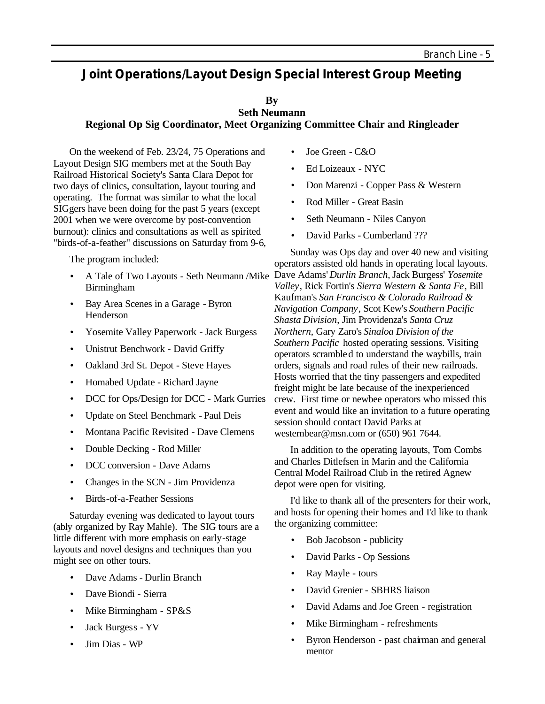#### **Joint Operations/Layout Design Special Interest Group Meeting**

#### **By Seth Neumann Regional Op Sig Coordinator, Meet Organizing Committee Chair and Ringleader**

On the weekend of Feb. 23/24, 75 Operations and Layout Design SIG members met at the South Bay Railroad Historical Society's Santa Clara Depot for two days of clinics, consultation, layout touring and operating. The format was similar to what the local SIGgers have been doing for the past 5 years (except 2001 when we were overcome by post-convention burnout): clinics and consultations as well as spirited "birds-of-a-feather" discussions on Saturday from 9-6,

The program included:

- Birmingham
- Bay Area Scenes in a Garage Byron Henderson
- Yosemite Valley Paperwork Jack Burgess
- Unistrut Benchwork David Griffy
- Oakland 3rd St. Depot Steve Hayes
- Homabed Update Richard Jayne
- DCC for Ops/Design for DCC Mark Gurries
- Update on Steel Benchmark Paul Deis
- Montana Pacific Revisited Dave Clemens
- Double Decking Rod Miller
- DCC conversion Dave Adams
- Changes in the SCN Jim Providenza
- Birds-of-a-Feather Sessions

Saturday evening was dedicated to layout tours (ably organized by Ray Mahle). The SIG tours are a little different with more emphasis on early-stage layouts and novel designs and techniques than you might see on other tours.

- Dave Adams Durlin Branch
- Dave Biondi Sierra
- Mike Birmingham SP&S
- Jack Burgess YV
- Jim Dias WP
- Joe Green C&O
- Ed Loizeaux NYC
- Don Marenzi Copper Pass & Western
- Rod Miller Great Basin
- Seth Neumann Niles Canyon
- David Parks Cumberland ???

• A Tale of Two Layouts - Seth Neumann /Mike Dave Adams' *Durlin Branch*, Jack Burgess' *Yosemite*  Sunday was Ops day and over 40 new and visiting operators assisted old hands in operating local layouts. *Valley*, Rick Fortin's *Sierra Western & Santa Fe*, Bill Kaufman's *San Francisco & Colorado Railroad & Navigation Company*, Scot Kew's *Southern Pacific Shasta Division*, Jim Providenza's *Santa Cruz Northern*, Gary Zaro's *Sinaloa Division of the Southern Pacific* hosted operating sessions. Visiting operators scrambled to understand the waybills, train orders, signals and road rules of their new railroads. Hosts worried that the tiny passengers and expedited freight might be late because of the inexperienced crew. First time or newbee operators who missed this event and would like an invitation to a future operating session should contact David Parks at westernbear@msn.com or (650) 961 7644.

> In addition to the operating layouts, Tom Combs and Charles Ditlefsen in Marin and the California Central Model Railroad Club in the retired Agnew depot were open for visiting.

I'd like to thank all of the presenters for their work, and hosts for opening their homes and I'd like to thank the organizing committee:

- Bob Jacobson publicity
- David Parks Op Sessions
- Ray Mayle tours
- David Grenier SBHRS liaison
- David Adams and Joe Green registration
- Mike Birmingham refreshments
- Byron Henderson past chairman and general mentor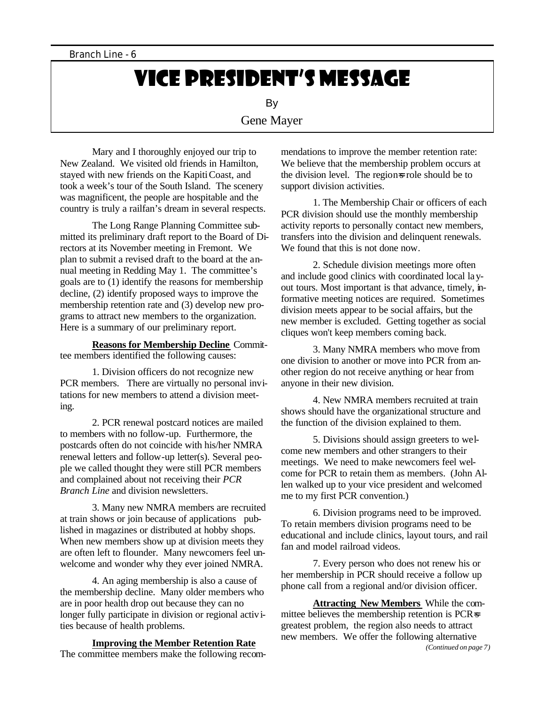### VICE PRESIDENT'S MESSAGE

By

#### Gene Mayer

Mary and I thoroughly enjoyed our trip to New Zealand. We visited old friends in Hamilton, stayed with new friends on the Kapiti Coast, and took a week's tour of the South Island. The scenery was magnificent, the people are hospitable and the country is truly a railfan's dream in several respects.

The Long Range Planning Committee submitted its preliminary draft report to the Board of Directors at its November meeting in Fremont. We plan to submit a revised draft to the board at the annual meeting in Redding May 1. The committee's goals are to (1) identify the reasons for membership decline, (2) identify proposed ways to improve the membership retention rate and (3) develop new programs to attract new members to the organization. Here is a summary of our preliminary report.

**Reasons for Membership Decline** Committee members identified the following causes:

1. Division officers do not recognize new PCR members. There are virtually no personal invitations for new members to attend a division meeting.

2. PCR renewal postcard notices are mailed to members with no follow-up. Furthermore, the postcards often do not coincide with his/her NMRA renewal letters and follow-up letter(s). Several people we called thought they were still PCR members and complained about not receiving their *PCR Branch Line* and division newsletters.

3. Many new NMRA members are recruited at train shows or join because of applications published in magazines or distributed at hobby shops. When new members show up at division meets they are often left to flounder. Many newcomers feel unwelcome and wonder why they ever joined NMRA.

4. An aging membership is also a cause of the membership decline. Many older members who are in poor health drop out because they can no longer fully participate in division or regional activities because of health problems.

**Improving the Member Retention Rate**

The committee members make the following recom-

mendations to improve the member retention rate: We believe that the membership problem occurs at the division level. The regions role should be to support division activities.

1. The Membership Chair or officers of each PCR division should use the monthly membership activity reports to personally contact new members, transfers into the division and delinquent renewals. We found that this is not done now.

2. Schedule division meetings more often and include good clinics with coordinated local layout tours. Most important is that advance, timely, informative meeting notices are required. Sometimes division meets appear to be social affairs, but the new member is excluded. Getting together as social cliques won't keep members coming back.

3. Many NMRA members who move from one division to another or move into PCR from another region do not receive anything or hear from anyone in their new division.

4. New NMRA members recruited at train shows should have the organizational structure and the function of the division explained to them.

5. Divisions should assign greeters to welcome new members and other strangers to their meetings. We need to make newcomers feel welcome for PCR to retain them as members. (John Allen walked up to your vice president and welcomed me to my first PCR convention.)

6. Division programs need to be improved. To retain members division programs need to be educational and include clinics, layout tours, and rail fan and model railroad videos.

7. Every person who does not renew his or her membership in PCR should receive a follow up phone call from a regional and/or division officer.

**Attracting New Members** While the committee believes the membership retention is PCR=s greatest problem, the region also needs to attract new members. We offer the following alternative *(Continued on page 7)*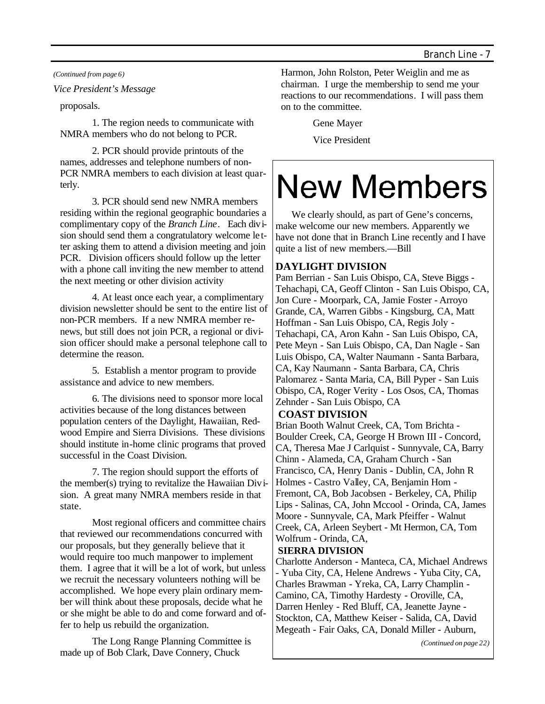#### *(Continued from page 6)*

*Vice President's Message*

proposals.

1. The region needs to communicate with NMRA members who do not belong to PCR.

2. PCR should provide printouts of the names, addresses and telephone numbers of non-PCR NMRA members to each division at least quarterly.

3. PCR should send new NMRA members residing within the regional geographic boundaries a complimentary copy of the *Branch Line*. Each division should send them a congratulatory welcome le tter asking them to attend a division meeting and join PCR. Division officers should follow up the letter with a phone call inviting the new member to attend the next meeting or other division activity

4. At least once each year, a complimentary division newsletter should be sent to the entire list of non-PCR members. If a new NMRA member renews, but still does not join PCR, a regional or division officer should make a personal telephone call to determine the reason.

5. Establish a mentor program to provide assistance and advice to new members.

6. The divisions need to sponsor more local activities because of the long distances between population centers of the Daylight, Hawaiian, Redwood Empire and Sierra Divisions. These divisions should institute in-home clinic programs that proved successful in the Coast Division.

7. The region should support the efforts of the member(s) trying to revitalize the Hawaiian Division. A great many NMRA members reside in that state.

Most regional officers and committee chairs that reviewed our recommendations concurred with our proposals, but they generally believe that it would require too much manpower to implement them. I agree that it will be a lot of work, but unless we recruit the necessary volunteers nothing will be accomplished. We hope every plain ordinary member will think about these proposals, decide what he or she might be able to do and come forward and offer to help us rebuild the organization.

The Long Range Planning Committee is made up of Bob Clark, Dave Connery, Chuck

Harmon, John Rolston, Peter Weiglin and me as chairman. I urge the membership to send me your reactions to our recommendations. I will pass them on to the committee.

Gene Mayer

Vice President

# **New Members**

We clearly should, as part of Gene's concerns, make welcome our new members. Apparently we have not done that in Branch Line recently and I have quite a list of new members.—Bill

#### **DAYLIGHT DIVISION**

Pam Berrian - San Luis Obispo, CA, Steve Biggs - Tehachapi, CA, Geoff Clinton - San Luis Obispo, CA, Jon Cure - Moorpark, CA, Jamie Foster - Arroyo Grande, CA, Warren Gibbs - Kingsburg, CA, Matt Hoffman - San Luis Obispo, CA, Regis Joly - Tehachapi, CA, Aron Kahn - San Luis Obispo, CA, Pete Meyn - San Luis Obispo, CA, Dan Nagle - San Luis Obispo, CA, Walter Naumann - Santa Barbara, CA, Kay Naumann - Santa Barbara, CA, Chris Palomarez - Santa Maria, CA, Bill Pyper - San Luis Obispo, CA, Roger Verity - Los Osos, CA, Thomas Zehnder - San Luis Obispo, CA

#### **COAST DIVISION**

Brian Booth Walnut Creek, CA, Tom Brichta - Boulder Creek, CA, George H Brown III - Concord, CA, Theresa Mae J Carlquist - Sunnyvale, CA, Barry Chinn - Alameda, CA, Graham Church - San Francisco, CA, Henry Danis - Dublin, CA, John R Holmes - Castro Valley, CA, Benjamin Hom - Fremont, CA, Bob Jacobsen - Berkeley, CA, Philip Lips - Salinas, CA, John Mccool - Orinda, CA, James Moore - Sunnyvale, CA, Mark Pfeiffer - Walnut Creek, CA, Arleen Seybert - Mt Hermon, CA, Tom Wolfrum - Orinda, CA,

#### **SIERRA DIVISION**

Charlotte Anderson - Manteca, CA, Michael Andrews - Yuba City, CA, Helene Andrews - Yuba City, CA, Charles Brawman - Yreka, CA, Larry Champlin - Camino, CA, Timothy Hardesty - Oroville, CA, Darren Henley - Red Bluff, CA, Jeanette Jayne - Stockton, CA, Matthew Keiser - Salida, CA, David Megeath - Fair Oaks, CA, Donald Miller - Auburn,

*(Continued on page 22)*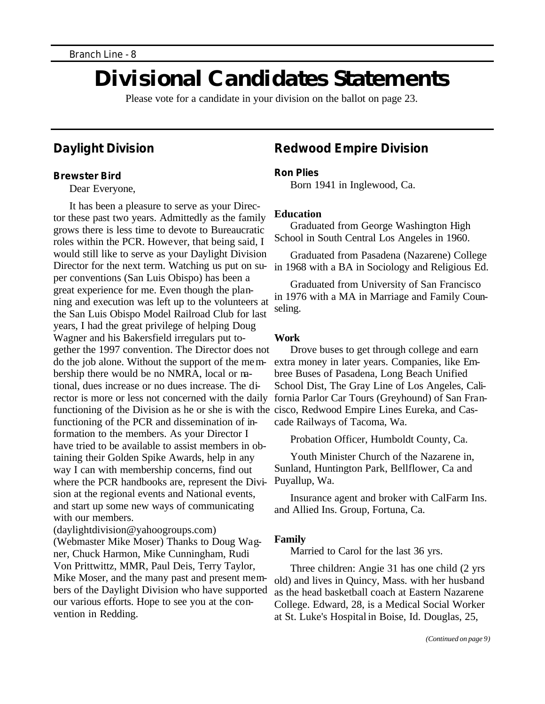### **Divisional Candidates Statements**

Please vote for a candidate in your division on the ballot on page 23.

#### **Daylight Division**

#### **Brewster Bird**

Dear Everyone,

It has been a pleasure to serve as your Director these past two years. Admittedly as the family grows there is less time to devote to Bureaucratic roles within the PCR. However, that being said, I would still like to serve as your Daylight Division Director for the next term. Watching us put on su- in 1968 with a BA in Sociology and Religious Ed. per conventions (San Luis Obispo) has been a great experience for me. Even though the planning and execution was left up to the volunteers at the San Luis Obispo Model Railroad Club for last years, I had the great privilege of helping Doug Wagner and his Bakersfield irregulars put together the 1997 convention. The Director does not do the job alone. Without the support of the membership there would be no NMRA, local or national, dues increase or no dues increase. The director is more or less not concerned with the daily functioning of the Division as he or she is with the cisco, Redwood Empire Lines Eureka, and Casfunctioning of the PCR and dissemination of information to the members. As your Director I have tried to be available to assist members in obtaining their Golden Spike Awards, help in any way I can with membership concerns, find out where the PCR handbooks are, represent the Division at the regional events and National events, and start up some new ways of communicating with our members.

(daylightdivision@yahoogroups.com) (Webmaster Mike Moser) Thanks to Doug Wagner, Chuck Harmon, Mike Cunningham, Rudi Von Prittwittz, MMR, Paul Deis, Terry Taylor, Mike Moser, and the many past and present members of the Daylight Division who have supported our various efforts. Hope to see you at the convention in Redding.

#### **Redwood Empire Division**

#### **Ron Plies**

Born 1941 in Inglewood, Ca.

#### **Education**

Graduated from George Washington High School in South Central Los Angeles in 1960.

Graduated from Pasadena (Nazarene) College

Graduated from University of San Francisco in 1976 with a MA in Marriage and Family Counseling.

#### **Work**

Drove buses to get through college and earn extra money in later years. Companies, like Embree Buses of Pasadena, Long Beach Unified School Dist, The Gray Line of Los Angeles, California Parlor Car Tours (Greyhound) of San Francade Railways of Tacoma, Wa.

Probation Officer, Humboldt County, Ca.

Youth Minister Church of the Nazarene in, Sunland, Huntington Park, Bellflower, Ca and Puyallup, Wa.

Insurance agent and broker with CalFarm Ins. and Allied Ins. Group, Fortuna, Ca.

#### **Family**

Married to Carol for the last 36 yrs.

Three children: Angie 31 has one child (2 yrs old) and lives in Quincy, Mass. with her husband as the head basketball coach at Eastern Nazarene College. Edward, 28, is a Medical Social Worker at St. Luke's Hospital in Boise, Id. Douglas, 25,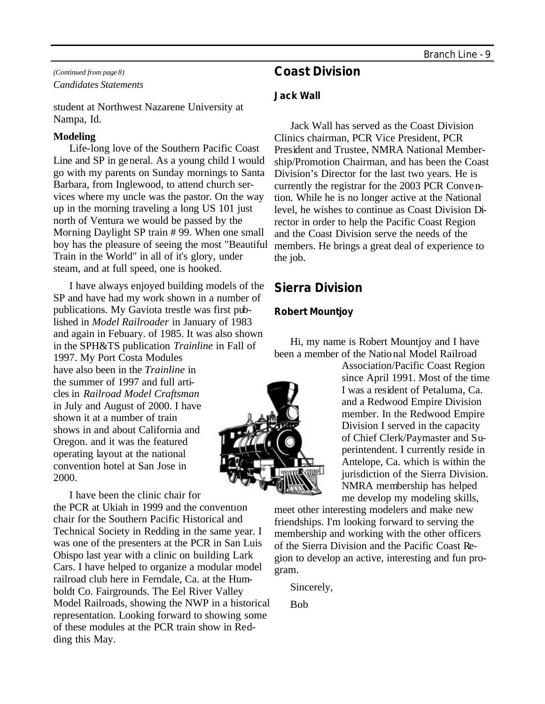*(Continued from page 8) Candidates Statements*

student at Northwest Nazarene University at Nampa, Id.

#### **Modeling**

Life-long love of the Southern Pacific Coast Line and SP in general. As a young child I would go with my parents on Sunday mornings to Santa Barbara, from Inglewood, to attend church services where my uncle was the pastor. On the way up in the morning traveling a long US 101 just north of Ventura we would be passed by the Morning Daylight SP train # 99. When one small boy has the pleasure of seeing the most "Beautiful Train in the World" in all of it's glory, under steam, and at full speed, one is hooked.

I have always enjoyed building models of the SP and have had my work shown in a number of publications. My Gaviota trestle was first published in *Model Railroader* in January of 1983 and again in Febuary. of 1985. It was also shown in the SPH&TS publication *Trainline* in Fall of

1997. My Port Costa Modules have also been in the *Trainline* in the summer of 1997 and full articles in *Railroad Model Craftsman*  in July and August of 2000. I have shown it at a number of train shows in and about California and Oregon. and it was the featured operating layout at the national convention hotel at San Jose in 2000.

I have been the clinic chair for the PCR at Ukiah in 1999 and the convention chair for the Southern Pacific Historical and Technical Society in Redding in the same year. I was one of the presenters at the PCR in San Luis Obispo last year with a clinic on building Lark Cars. I have helped to organize a modular model railroad club here in Ferndale, Ca. at the Humboldt Co. Fairgrounds. The Eel River Valley Model Railroads, showing the NWP in a historical representation. Looking forward to showing some of these modules at the PCR train show in Redding this May.

#### **Coast Division**

#### **Jack Wall**

Jack Wall has served as the Coast Division Clinics chairman, PCR Vice President, PCR President and Trustee, NMRA National Membership/Promotion Chairman, and has been the Coast Division's Director for the last two years. He is currently the registrar for the 2003 PCR Convention. While he is no longer active at the National level, he wishes to continue as Coast Division Director in order to help the Pacific Coast Region and the Coast Division serve the needs of the members. He brings a great deal of experience to the job.

#### **Sierra Division**

#### **Robert Mountjoy**

Hi, my name is Robert Mountjoy and I have been a member of the National Model Railroad



meet other interesting modelers and make new friendships. I'm looking forward to serving the membership and working with the other officers of the Sierra Division and the Pacific Coast Region to develop an active, interesting and fun program.

Sincerely,

Bob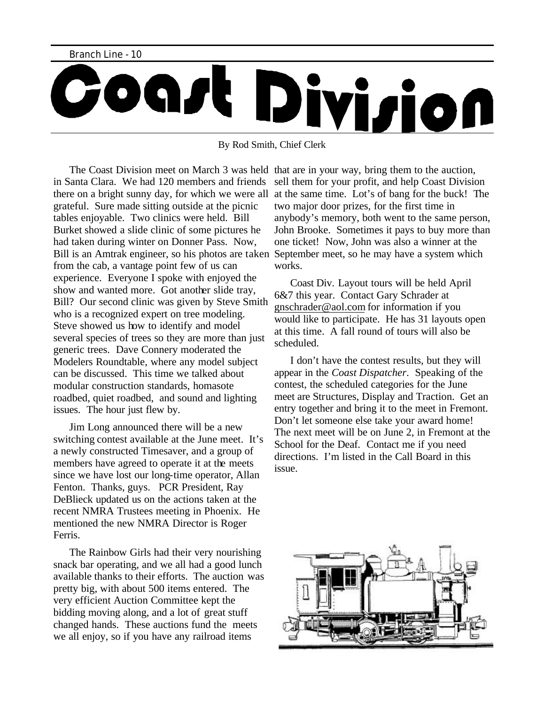# DAJL <u>Divirion</u>

By Rod Smith, Chief Clerk

in Santa Clara. We had 120 members and friends there on a bright sunny day, for which we were all grateful. Sure made sitting outside at the picnic tables enjoyable. Two clinics were held. Bill Burket showed a slide clinic of some pictures he had taken during winter on Donner Pass. Now, Bill is an Amtrak engineer, so his photos are taken September meet, so he may have a system which from the cab, a vantage point few of us can experience. Everyone I spoke with enjoyed the show and wanted more. Got another slide tray, Bill? Our second clinic was given by Steve Smith who is a recognized expert on tree modeling. Steve showed us how to identify and model several species of trees so they are more than just generic trees. Dave Connery moderated the Modelers Roundtable, where any model subject can be discussed. This time we talked about modular construction standards, homasote roadbed, quiet roadbed, and sound and lighting issues. The hour just flew by.

Jim Long announced there will be a new switching contest available at the June meet. It's a newly constructed Timesaver, and a group of members have agreed to operate it at the meets since we have lost our long-time operator, Allan Fenton. Thanks, guys. PCR President, Ray DeBlieck updated us on the actions taken at the recent NMRA Trustees meeting in Phoenix. He mentioned the new NMRA Director is Roger Ferris.

The Rainbow Girls had their very nourishing snack bar operating, and we all had a good lunch available thanks to their efforts. The auction was pretty big, with about 500 items entered. The very efficient Auction Committee kept the bidding moving along, and a lot of great stuff changed hands. These auctions fund the meets we all enjoy, so if you have any railroad items

The Coast Division meet on March 3 was held that are in your way, bring them to the auction, sell them for your profit, and help Coast Division at the same time. Lot's of bang for the buck! The two major door prizes, for the first time in anybody's memory, both went to the same person, John Brooke. Sometimes it pays to buy more than one ticket! Now, John was also a winner at the works.

> Coast Div. Layout tours will be held April 6&7 this year. Contact Gary Schrader at gnschrader@aol.com for information if you would like to participate. He has 31 layouts open at this time. A fall round of tours will also be scheduled.

I don't have the contest results, but they will appear in the *Coast Dispatcher*. Speaking of the contest, the scheduled categories for the June meet are Structures, Display and Traction. Get an entry together and bring it to the meet in Fremont. Don't let someone else take your award home! The next meet will be on June 2, in Fremont at the School for the Deaf. Contact me if you need directions. I'm listed in the Call Board in this issue.

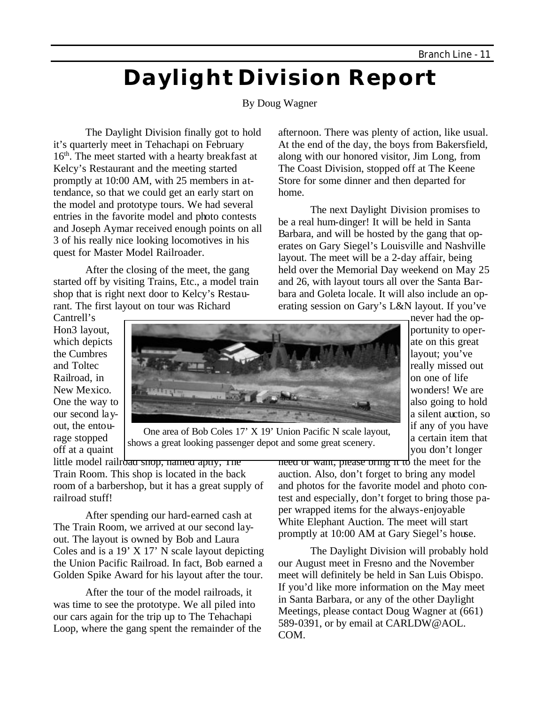## **Daylight Division Report**

#### By Doug Wagner

The Daylight Division finally got to hold it's quarterly meet in Tehachapi on February 16<sup>th</sup>. The meet started with a hearty breakfast at Kelcy's Restaurant and the meeting started promptly at 10:00 AM, with 25 members in attendance, so that we could get an early start on the model and prototype tours. We had several entries in the favorite model and photo contests and Joseph Aymar received enough points on all 3 of his really nice looking locomotives in his quest for Master Model Railroader.

After the closing of the meet, the gang started off by visiting Trains, Etc., a model train shop that is right next door to Kelcy's Restaurant. The first layout on tour was Richard

afternoon. There was plenty of action, like usual. At the end of the day, the boys from Bakersfield, along with our honored visitor, Jim Long, from The Coast Division, stopped off at The Keene Store for some dinner and then departed for home.

The next Daylight Division promises to be a real hum-dinger! It will be held in Santa Barbara, and will be hosted by the gang that operates on Gary Siegel's Louisville and Nashville layout. The meet will be a 2-day affair, being held over the Memorial Day weekend on May 25 and 26, with layout tours all over the Santa Barbara and Goleta locale. It will also include an operating session on Gary's L&N layout. If you've

Cantrell's Hon3 layout, which depicts the Cumbres and Toltec Railroad, in New Mexico. One the way to our second layout, the entourage stopped off at a quaint



One area of Bob Coles 17' X 19' Union Pacific N scale layout, shows a great looking passenger depot and some great scenery.

little model railroad snop, named aptly, Ine Train Room. This shop is located in the back room of a barbershop, but it has a great supply of railroad stuff!

After spending our hard-earned cash at The Train Room, we arrived at our second layout. The layout is owned by Bob and Laura Coles and is a 19' X 17' N scale layout depicting the Union Pacific Railroad. In fact, Bob earned a Golden Spike Award for his layout after the tour.

After the tour of the model railroads, it was time to see the prototype. We all piled into our cars again for the trip up to The Tehachapi Loop, where the gang spent the remainder of the never had the opportunity to operate on this great layout; you've really missed out on one of life wonders! We are also going to hold a silent auction, so if any of you have a certain item that you don't longer

need or want, please bring it to the meet for the auction. Also, don't forget to bring any model and photos for the favorite model and photo contest and especially, don't forget to bring those paper wrapped items for the always-enjoyable White Elephant Auction. The meet will start promptly at 10:00 AM at Gary Siegel's house.

The Daylight Division will probably hold our August meet in Fresno and the November meet will definitely be held in San Luis Obispo. If you'd like more information on the May meet in Santa Barbara, or any of the other Daylight Meetings, please contact Doug Wagner at (661) 589-0391, or by email at CARLDW@AOL. COM.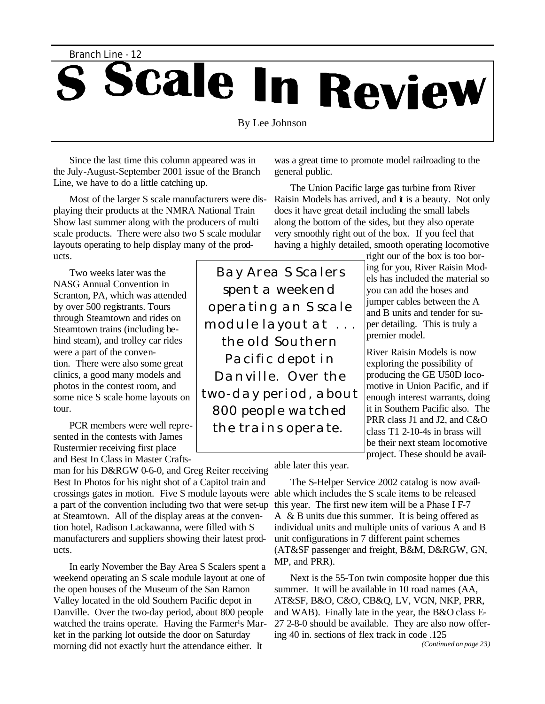# Branch Line - 12<br>S Scale In Review

By Lee Johnson

Since the last time this column appeared was in the July-August-September 2001 issue of the Branch Line, we have to do a little catching up.

Most of the larger S scale manufacturers were displaying their products at the NMRA National Train Show last summer along with the producers of multi scale products. There were also two S scale modular layouts operating to help display many of the products.

Two weeks later was the NASG Annual Convention in Scranton, PA, which was attended by over 500 registrants. Tours through Steamtown and rides on Steamtown trains (including behind steam), and trolley car rides were a part of the convention. There were also some great clinics, a good many models and photos in the contest room, and some nice S scale home layouts on tour.

PCR members were well represented in the contests with James Rustermier receiving first place and Best In Class in Master Crafts-

man for his D&RGW 0-6-0, and Greg Reiter receiving Best In Photos for his night shot of a Capitol train and crossings gates in motion. Five S module layouts were able which includes the S scale items to be released a part of the convention including two that were set-up at Steamtown. All of the display areas at the convention hotel, Radison Lackawanna, were filled with S manufacturers and suppliers showing their latest products.

In early November the Bay Area S Scalers spent a weekend operating an S scale module layout at one of the open houses of the Museum of the San Ramon Valley located in the old Southern Pacific depot in Danville. Over the two-day period, about 800 people watched the trains operate. Having the Farmer<sup>1</sup>s Market in the parking lot outside the door on Saturday morning did not exactly hurt the attendance either. It

was a great time to promote model railroading to the general public.

The Union Pacific large gas turbine from River Raisin Models has arrived, and it is a beauty. Not only does it have great detail including the small labels along the bottom of the sides, but they also operate very smoothly right out of the box. If you feel that having a highly detailed, smooth operating locomotive

Bay Area S Scalers spent a weekend operating an S scale module layout at the old Southern Pacific depot in Danville. Over the two-day period, about 800 people watched the trains operate.

right our of the box is too boring for you, River Raisin Models has included the material so you can add the hoses and jumper cables between the A and B units and tender for super detailing. This is truly a premier model.

River Raisin Models is now exploring the possibility of producing the GE U50D locomotive in Union Pacific, and if enough interest warrants, doing it in Southern Pacific also. The PRR class J1 and J2, and C&O class T1 2-10-4s in brass will be their next steam locomotive project. These should be avail-

able later this year.

The S-Helper Service 2002 catalog is now availthis year. The first new item will be a Phase I F-7 A & B units due this summer. It is being offered as individual units and multiple units of various A and B unit configurations in 7 different paint schemes (AT&SF passenger and freight, B&M, D&RGW, GN, MP, and PRR).

Next is the 55-Ton twin composite hopper due this summer. It will be available in 10 road names (AA, AT&SF, B&O, C&O, CB&Q, LV, VGN, NKP, PRR, and WAB). Finally late in the year, the B&O class E-27 2-8-0 should be available. They are also now offering 40 in. sections of flex track in code .125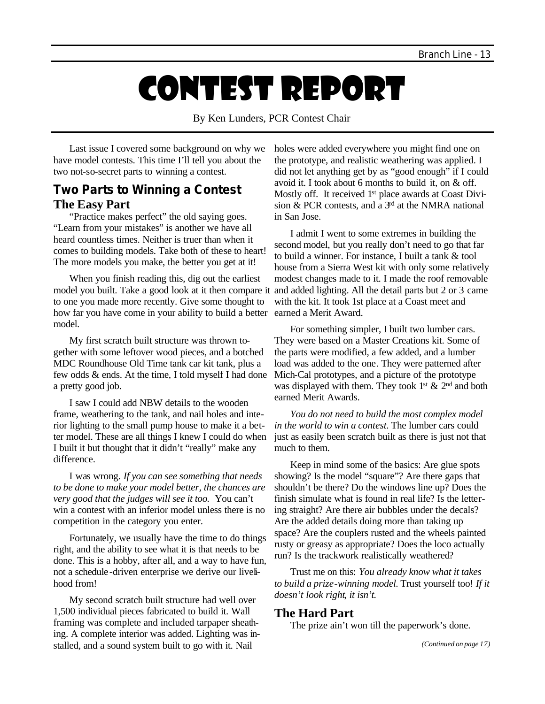# CONTEST REPORT

By Ken Lunders, PCR Contest Chair

Last issue I covered some background on why we have model contests. This time I'll tell you about the two not-so-secret parts to winning a contest.

#### **Two Parts to Winning a Contest The Easy Part**

"Practice makes perfect" the old saying goes. "Learn from your mistakes" is another we have all heard countless times. Neither is truer than when it comes to building models. Take both of these to heart! The more models you make, the better you get at it!

When you finish reading this, dig out the earliest model you built. Take a good look at it then compare it to one you made more recently. Give some thought to how far you have come in your ability to build a better earned a Merit Award. model.

My first scratch built structure was thrown together with some leftover wood pieces, and a botched MDC Roundhouse Old Time tank car kit tank, plus a few odds & ends. At the time, I told myself I had done a pretty good job.

I saw I could add NBW details to the wooden frame, weathering to the tank, and nail holes and interior lighting to the small pump house to make it a better model. These are all things I knew I could do when I built it but thought that it didn't "really" make any difference.

I was wrong. *If you can see something that needs to be done to make your model better, the chances are very good that the judges will see it too.* You can't win a contest with an inferior model unless there is no competition in the category you enter.

Fortunately, we usually have the time to do things right, and the ability to see what it is that needs to be done. This is a hobby, after all, and a way to have fun, not a schedule-driven enterprise we derive our livelihood from!

My second scratch built structure had well over 1,500 individual pieces fabricated to build it. Wall framing was complete and included tarpaper sheathing. A complete interior was added. Lighting was installed, and a sound system built to go with it. Nail

holes were added everywhere you might find one on the prototype, and realistic weathering was applied. I did not let anything get by as "good enough" if I could avoid it. I took about 6 months to build it, on & off. Mostly off. It received 1<sup>st</sup> place awards at Coast Division  $\&$  PCR contests, and a  $3<sup>rd</sup>$  at the NMRA national in San Jose.

I admit I went to some extremes in building the second model, but you really don't need to go that far to build a winner. For instance, I built a tank & tool house from a Sierra West kit with only some relatively modest changes made to it. I made the roof removable and added lighting. All the detail parts but 2 or 3 came with the kit. It took 1st place at a Coast meet and

For something simpler, I built two lumber cars. They were based on a Master Creations kit. Some of the parts were modified, a few added, and a lumber load was added to the one. They were patterned after Mich-Cal prototypes, and a picture of the prototype was displayed with them. They took 1st  $\&$  2<sup>nd</sup> and both earned Merit Awards.

*You do not need to build the most complex model in the world to win a contest.* The lumber cars could just as easily been scratch built as there is just not that much to them.

Keep in mind some of the basics: Are glue spots showing? Is the model "square"? Are there gaps that shouldn't be there? Do the windows line up? Does the finish simulate what is found in real life? Is the lettering straight? Are there air bubbles under the decals? Are the added details doing more than taking up space? Are the couplers rusted and the wheels painted rusty or greasy as appropriate? Does the loco actually run? Is the trackwork realistically weathered?

Trust me on this: *You already know what it takes to build a prize-winning model.* Trust yourself too! *If it doesn't look right, it isn't.*

#### **The Hard Part**

The prize ain't won till the paperwork's done.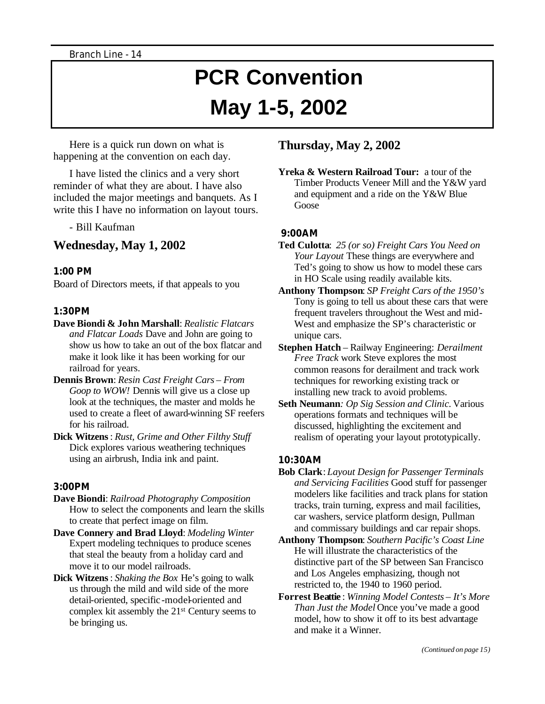# **PCR Convention May 1-5, 2002**

Here is a quick run down on what is happening at the convention on each day.

I have listed the clinics and a very short reminder of what they are about. I have also included the major meetings and banquets. As I write this I have no information on layout tours.

- Bill Kaufman

#### **Wednesday, May 1, 2002**

#### **1:00 PM**

Board of Directors meets, if that appeals to you

#### **1:30PM**

- **Dave Biondi & John Marshall**: *Realistic Flatcars and Flatcar Loads* Dave and John are going to show us how to take an out of the box flatcar and make it look like it has been working for our railroad for years.
- **Dennis Brown**: *Resin Cast Freight Cars From Goop to WOW!* Dennis will give us a close up look at the techniques, the master and molds he used to create a fleet of award-winning SF reefers for his railroad.
- **Dick Witzens**: *Rust, Grime and Other Filthy Stuff*  Dick explores various weathering techniques using an airbrush, India ink and paint.

#### **3:00PM**

- **Dave Biondi**: *Railroad Photography Composition*  How to select the components and learn the skills to create that perfect image on film.
- **Dave Connery and Brad Lloyd**: *Modeling Winter*  Expert modeling techniques to produce scenes that steal the beauty from a holiday card and move it to our model railroads.
- **Dick Witzens**: *Shaking the Box* He's going to walk us through the mild and wild side of the more detail-oriented, specific -model-oriented and complex kit assembly the 21st Century seems to be bringing us.

#### **Thursday, May 2, 2002**

**Yreka & Western Railroad Tour:** a tour of the Timber Products Veneer Mill and the Y&W yard and equipment and a ride on the Y&W Blue Goose

#### **9:00AM**

- **Ted Culotta**: *25 (or so) Freight Cars You Need on Your Layout* These things are everywhere and Ted's going to show us how to model these cars in HO Scale using readily available kits.
- **Anthony Thompson**: *SP Freight Cars of the 1950's*  Tony is going to tell us about these cars that were frequent travelers throughout the West and mid-West and emphasize the SP's characteristic or unique cars.
- **Stephen Hatch** Railway Engineering: *Derailment Free Track* work Steve explores the most common reasons for derailment and track work techniques for reworking existing track or installing new track to avoid problems.
- **Seth Neumann***: Op Sig Session and Clinic.* Various operations formats and techniques will be discussed, highlighting the excitement and realism of operating your layout prototypically.

#### **10:30AM**

- **Bob Clark**: *Layout Design for Passenger Terminals and Servicing Facilities* Good stuff for passenger modelers like facilities and track plans for station tracks, train turning, express and mail facilities, car washers, service platform design, Pullman and commissary buildings and car repair shops.
- **Anthony Thompson**: *Southern Pacific's Coast Line*  He will illustrate the characteristics of the distinctive part of the SP between San Francisco and Los Angeles emphasizing, though not restricted to, the 1940 to 1960 period.
- **Forrest Beattie** : *Winning Model Contests It's More Than Just the Model* Once you've made a good model, how to show it off to its best advantage and make it a Winner.

*(Continued on page 15)*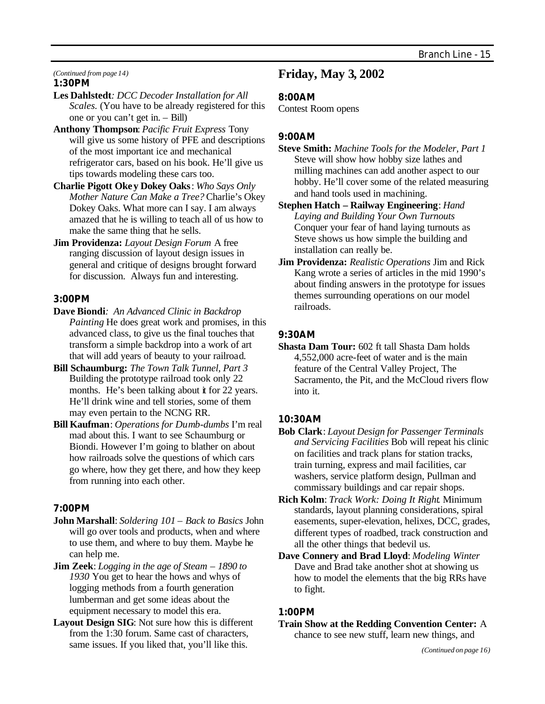*(Continued from page 14)* **1:30PM**

- **Les Dahlstedt***: DCC Decoder Installation for All Scales.* (You have to be already registered for this one or you can't get in. – Bill)
- **Anthony Thompson**: *Pacific Fruit Express* Tony will give us some history of PFE and descriptions of the most important ice and mechanical refrigerator cars, based on his book. He'll give us tips towards modeling these cars too.
- **Charlie Pigott Okey Dokey Oaks**: *Who Says Only Mother Nature Can Make a Tree?* Charlie's Okey Dokey Oaks. What more can I say. I am always amazed that he is willing to teach all of us how to make the same thing that he sells.
- **Jim Providenza:** *Layout Design Forum* A free ranging discussion of layout design issues in general and critique of designs brought forward for discussion. Always fun and interesting.

#### **3:00PM**

- **Dave Biondi***: An Advanced Clinic in Backdrop Painting* He does great work and promises, in this advanced class, to give us the final touches that transform a simple backdrop into a work of art that will add years of beauty to your railroad.
- **Bill Schaumburg:** *The Town Talk Tunnel, Part 3*  Building the prototype railroad took only 22 months. He's been talking about it for 22 years. He'll drink wine and tell stories, some of them may even pertain to the NCNG RR.
- **Bill Kaufman**: *Operations for Dumb-dumbs* I'm real mad about this. I want to see Schaumburg or Biondi. However I'm going to blather on about how railroads solve the questions of which cars go where, how they get there, and how they keep from running into each other.

#### **7:00PM**

- **John Marshall**: *Soldering 101 Back to Basics* John will go over tools and products, when and where to use them, and where to buy them. Maybe he can help me.
- **Jim Zeek**: *Logging in the age of Steam 1890 to 1930* You get to hear the hows and whys of logging methods from a fourth generation lumberman and get some ideas about the equipment necessary to model this era.
- **Layout Design SIG**: Not sure how this is different from the 1:30 forum. Same cast of characters, same issues. If you liked that, you'll like this.

#### **Friday, May 3, 2002**

#### **8:00AM**

Contest Room opens

#### **9:00AM**

**Steve Smith:** *Machine Tools for the Modeler, Part 1* Steve will show how hobby size lathes and milling machines can add another aspect to our hobby. He'll cover some of the related measuring and hand tools used in machining.

**Stephen Hatch – Railway Engineering**: *Hand Laying and Building Your Own Turnouts*  Conquer your fear of hand laying turnouts as Steve shows us how simple the building and installation can really be.

**Jim Providenza:** *Realistic Operations* Jim and Rick Kang wrote a series of articles in the mid 1990's about finding answers in the prototype for issues themes surrounding operations on our model railroads.

#### **9:30AM**

**Shasta Dam Tour:** 602 ft tall Shasta Dam holds 4,552,000 acre-feet of water and is the main feature of the Central Valley Project, The Sacramento, the Pit, and the McCloud rivers flow into it.

#### **10:30AM**

- **Bob Clark**: *Layout Design for Passenger Terminals and Servicing Facilities* Bob will repeat his clinic on facilities and track plans for station tracks, train turning, express and mail facilities, car washers, service platform design, Pullman and commissary buildings and car repair shops.
- **Rich Kolm**: *Track Work: Doing It Right*. Minimum standards, layout planning considerations, spiral easements, super-elevation, helixes, DCC, grades, different types of roadbed, track construction and all the other things that bedevil us.
- **Dave Connery and Brad Lloyd**: *Modeling Winter* Dave and Brad take another shot at showing us how to model the elements that the big RRs have to fight.

#### **1:00PM**

**Train Show at the Redding Convention Center:** A chance to see new stuff, learn new things, and

*(Continued on page 16)*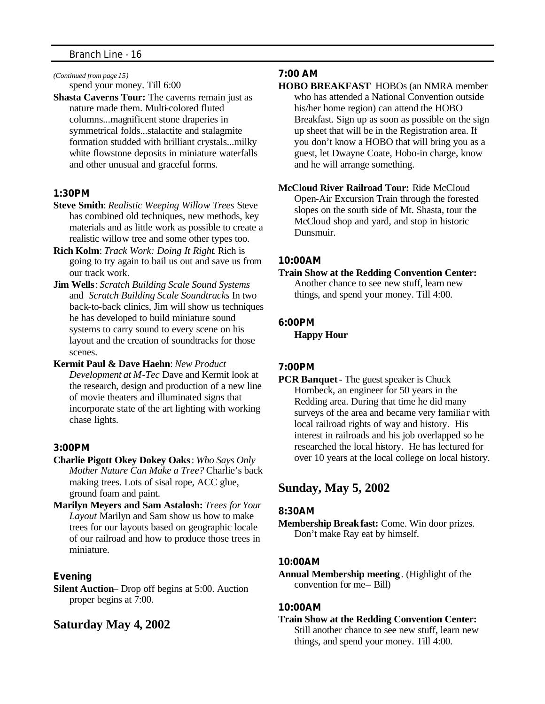*(Continued from page 15)*

spend your money. Till 6:00

**Shasta Caverns Tour:** The caverns remain just as nature made them. Multi-colored fluted columns...magnificent stone draperies in symmetrical folds...stalactite and stalagmite formation studded with brilliant crystals...milky white flowstone deposits in miniature waterfalls and other unusual and graceful forms.

#### **1:30PM**

- **Steve Smith**: *Realistic Weeping Willow Trees* Steve has combined old techniques, new methods, key materials and as little work as possible to create a realistic willow tree and some other types too.
- **Rich Kolm**: *Track Work: Doing It Right*. Rich is going to try again to bail us out and save us from our track work.
- **Jim Wells**: *Scratch Building Scale Sound Systems*  and *Scratch Building Scale Soundtracks* In two back-to-back clinics, Jim will show us techniques he has developed to build miniature sound systems to carry sound to every scene on his layout and the creation of soundtracks for those scenes.
- **Kermit Paul & Dave Haehn**: *New Product Development at M-Tec* Dave and Kermit look at the research, design and production of a new line of movie theaters and illuminated signs that incorporate state of the art lighting with working chase lights.

#### **3:00PM**

- **Charlie Pigott Okey Dokey Oaks**: *Who Says Only Mother Nature Can Make a Tree?* Charlie's back making trees. Lots of sisal rope, ACC glue, ground foam and paint.
- **Marilyn Meyers and Sam Astalosh:** *Trees for Your Layout* Marilyn and Sam show us how to make trees for our layouts based on geographic locale of our railroad and how to produce those trees in miniature.

#### **Evening**

**Silent Auction**– Drop off begins at 5:00. Auction proper begins at 7:00.

#### **Saturday May 4, 2002**

#### **7:00 AM**

- **HOBO BREAKFAST** HOBOs (an NMRA member who has attended a National Convention outside his/her home region) can attend the HOBO Breakfast. Sign up as soon as possible on the sign up sheet that will be in the Registration area. If you don't know a HOBO that will bring you as a guest, let Dwayne Coate, Hobo-in charge, know and he will arrange something.
- **McCloud River Railroad Tour:** Ride McCloud Open-Air Excursion Train through the forested slopes on the south side of Mt. Shasta, tour the McCloud shop and yard, and stop in historic Dunsmuir.

#### **10:00AM**

**Train Show at the Redding Convention Center:**  Another chance to see new stuff, learn new things, and spend your money. Till 4:00.

#### **6:00PM**

**Happy Hour**

#### **7:00PM**

**PCR Banquet**- The guest speaker is Chuck Hornbeck, an engineer for 50 years in the Redding area. During that time he did many surveys of the area and became very familiar with local railroad rights of way and history. His interest in railroads and his job overlapped so he researched the local history. He has lectured for over 10 years at the local college on local history.

#### **Sunday, May 5, 2002**

#### **8:30AM**

**Membership Breakfast:** Come. Win door prizes. Don't make Ray eat by himself.

#### **10:00AM**

**Annual Membership meeting**. (Highlight of the convention for me– Bill)

#### **10:00AM**

**Train Show at the Redding Convention Center:**  Still another chance to see new stuff, learn new things, and spend your money. Till 4:00.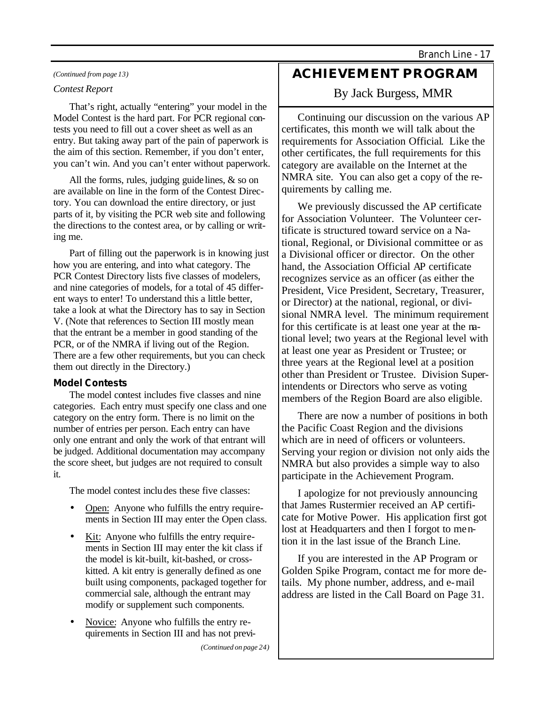#### *(Continued from page 13)*

#### *Contest Report*

That's right, actually "entering" your model in the Model Contest is the hard part. For PCR regional contests you need to fill out a cover sheet as well as an entry. But taking away part of the pain of paperwork is the aim of this section. Remember, if you don't enter, you can't win. And you can't enter without paperwork.

All the forms, rules, judging guide lines, & so on are available on line in the form of the Contest Directory. You can download the entire directory, or just parts of it, by visiting the PCR web site and following the directions to the contest area, or by calling or writing me.

Part of filling out the paperwork is in knowing just how you are entering, and into what category. The PCR Contest Directory lists five classes of modelers, and nine categories of models, for a total of 45 different ways to enter! To understand this a little better, take a look at what the Directory has to say in Section V. (Note that references to Section III mostly mean that the entrant be a member in good standing of the PCR, or of the NMRA if living out of the Region. There are a few other requirements, but you can check them out directly in the Directory.)

#### **Model Contests**

The model contest includes five classes and nine categories. Each entry must specify one class and one category on the entry form. There is no limit on the number of entries per person. Each entry can have only one entrant and only the work of that entrant will be judged. Additional documentation may accompany the score sheet, but judges are not required to consult it.

The model contest includes these five classes:

- Open: Anyone who fulfills the entry requirements in Section III may enter the Open class.
- Kit: Anyone who fulfills the entry requirements in Section III may enter the kit class if the model is kit-built, kit-bashed, or crosskitted. A kit entry is generally defined as one built using components, packaged together for commercial sale, although the entrant may modify or supplement such components.
- Novice: Anyone who fulfills the entry requirements in Section III and has not previ-

#### *(Continued on page 24)*

#### **ACHIEVEMENT PROGRAM**

By Jack Burgess, MMR

Continuing our discussion on the various AP certificates, this month we will talk about the requirements for Association Official. Like the other certificates, the full requirements for this category are available on the Internet at the NMRA site. You can also get a copy of the requirements by calling me.

We previously discussed the AP certificate for Association Volunteer. The Volunteer certificate is structured toward service on a National, Regional, or Divisional committee or as a Divisional officer or director. On the other hand, the Association Official AP certificate recognizes service as an officer (as either the President, Vice President, Secretary, Treasurer, or Director) at the national, regional, or divisional NMRA level. The minimum requirement for this certificate is at least one year at the national level; two years at the Regional level with at least one year as President or Trustee; or three years at the Regional level at a position other than President or Trustee. Division Superintendents or Directors who serve as voting members of the Region Board are also eligible.

There are now a number of positions in both the Pacific Coast Region and the divisions which are in need of officers or volunteers. Serving your region or division not only aids the NMRA but also provides a simple way to also participate in the Achievement Program.

I apologize for not previously announcing that James Rustermier received an AP certificate for Motive Power. His application first got lost at Headquarters and then I forgot to mention it in the last issue of the Branch Line.

If you are interested in the AP Program or Golden Spike Program, contact me for more details. My phone number, address, and e-mail address are listed in the Call Board on Page 31.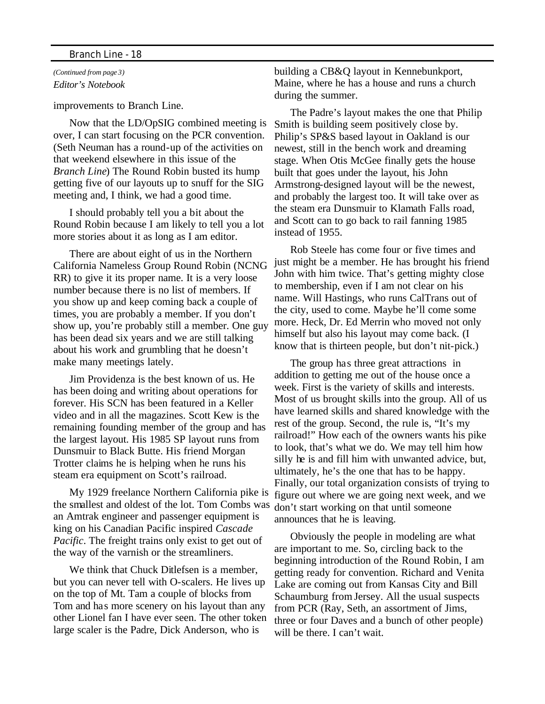*(Continued from page 3) Editor's Notebook*

improvements to Branch Line.

Now that the LD/OpSIG combined meeting is over, I can start focusing on the PCR convention. (Seth Neuman has a round-up of the activities on that weekend elsewhere in this issue of the *Branch Line*) The Round Robin busted its hump getting five of our layouts up to snuff for the SIG meeting and, I think, we had a good time.

I should probably tell you a bit about the Round Robin because I am likely to tell you a lot more stories about it as long as I am editor.

There are about eight of us in the Northern California Nameless Group Round Robin (NCNG RR) to give it its proper name. It is a very loose number because there is no list of members. If you show up and keep coming back a couple of times, you are probably a member. If you don't show up, you're probably still a member. One guy has been dead six years and we are still talking about his work and grumbling that he doesn't make many meetings lately.

Jim Providenza is the best known of us. He has been doing and writing about operations for forever. His SCN has been featured in a Keller video and in all the magazines. Scott Kew is the remaining founding member of the group and has the largest layout. His 1985 SP layout runs from Dunsmuir to Black Butte. His friend Morgan Trotter claims he is helping when he runs his steam era equipment on Scott's railroad.

My 1929 freelance Northern California pike is the smallest and oldest of the lot. Tom Combs was an Amtrak engineer and passenger equipment is king on his Canadian Pacific inspired *Cascade Pacific*. The freight trains only exist to get out of the way of the varnish or the streamliners.

We think that Chuck Ditlefsen is a member, but you can never tell with O-scalers. He lives up on the top of Mt. Tam a couple of blocks from Tom and has more scenery on his layout than any other Lionel fan I have ever seen. The other token large scaler is the Padre, Dick Anderson, who is

building a CB&Q layout in Kennebunkport, Maine, where he has a house and runs a church during the summer.

The Padre's layout makes the one that Philip Smith is building seem positively close by. Philip's SP&S based layout in Oakland is our newest, still in the bench work and dreaming stage. When Otis McGee finally gets the house built that goes under the layout, his John Armstrong-designed layout will be the newest, and probably the largest too. It will take over as the steam era Dunsmuir to Klamath Falls road, and Scott can to go back to rail fanning 1985 instead of 1955.

Rob Steele has come four or five times and just might be a member. He has brought his friend John with him twice. That's getting mighty close to membership, even if I am not clear on his name. Will Hastings, who runs CalTrans out of the city, used to come. Maybe he'll come some more. Heck, Dr. Ed Merrin who moved not only himself but also his layout may come back. (I know that is thirteen people, but don't nit-pick.)

The group has three great attractions in addition to getting me out of the house once a week. First is the variety of skills and interests. Most of us brought skills into the group. All of us have learned skills and shared knowledge with the rest of the group. Second, the rule is, "It's my railroad!" How each of the owners wants his pike to look, that's what we do. We may tell him how silly he is and fill him with unwanted advice, but, ultimately, he's the one that has to be happy. Finally, our total organization consists of trying to figure out where we are going next week, and we don't start working on that until someone announces that he is leaving.

Obviously the people in modeling are what are important to me. So, circling back to the beginning introduction of the Round Robin, I am getting ready for convention. Richard and Venita Lake are coming out from Kansas City and Bill Schaumburg from Jersey. All the usual suspects from PCR (Ray, Seth, an assortment of Jims, three or four Daves and a bunch of other people) will be there. I can't wait.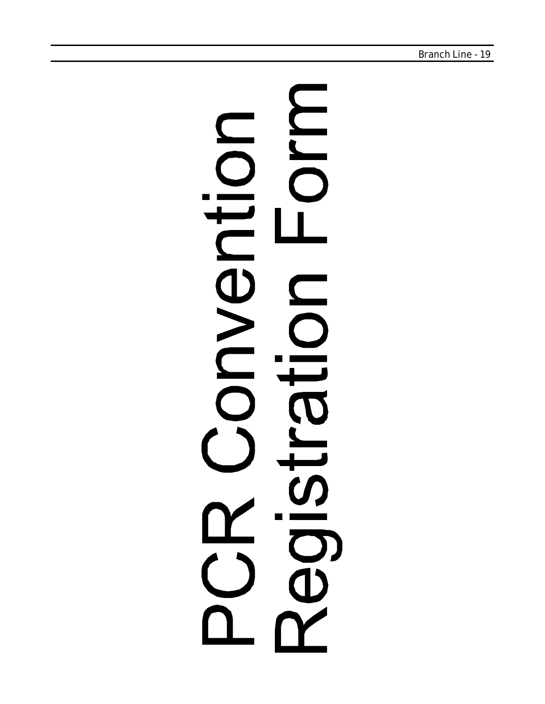# DI JO OLIO  $\overline{\mathbf{\Phi}}$ NN  $\overline{\mathbf{C}}$ **SIBO**  $\blacksquare$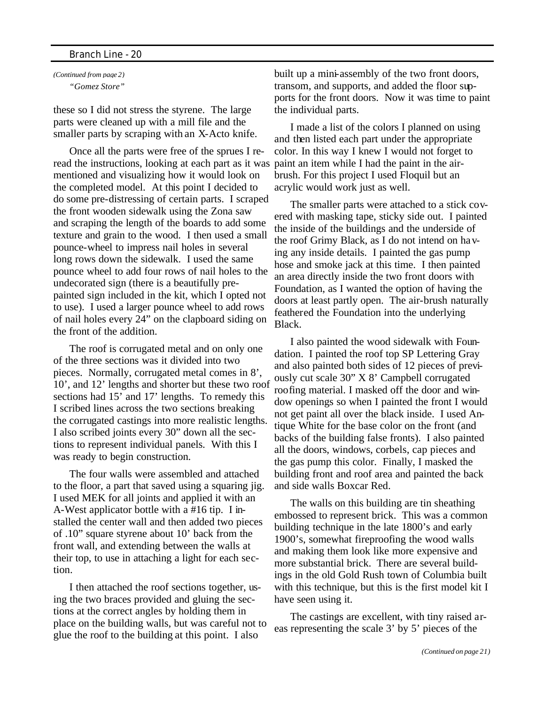*(Continued from page 2) "Gomez Store"*

these so I did not stress the styrene. The large parts were cleaned up with a mill file and the smaller parts by scraping with an X-Acto knife.

Once all the parts were free of the sprues I reread the instructions, looking at each part as it was mentioned and visualizing how it would look on the completed model. At this point I decided to do some pre-distressing of certain parts. I scraped the front wooden sidewalk using the Zona saw and scraping the length of the boards to add some texture and grain to the wood. I then used a small pounce-wheel to impress nail holes in several long rows down the sidewalk. I used the same pounce wheel to add four rows of nail holes to the undecorated sign (there is a beautifully prepainted sign included in the kit, which I opted not to use). I used a larger pounce wheel to add rows of nail holes every 24" on the clapboard siding on the front of the addition.

The roof is corrugated metal and on only one of the three sections was it divided into two pieces. Normally, corrugated metal comes in 8', 10', and 12' lengths and shorter but these two roof sections had 15' and 17' lengths. To remedy this I scribed lines across the two sections breaking the corrugated castings into more realistic lengths. I also scribed joints every 30" down all the sections to represent individual panels. With this I was ready to begin construction.

The four walls were assembled and attached to the floor, a part that saved using a squaring jig. I used MEK for all joints and applied it with an A-West applicator bottle with a #16 tip. I installed the center wall and then added two pieces of .10" square styrene about 10' back from the front wall, and extending between the walls at their top, to use in attaching a light for each section.

I then attached the roof sections together, using the two braces provided and gluing the sections at the correct angles by holding them in place on the building walls, but was careful not to glue the roof to the building at this point. I also

built up a mini-assembly of the two front doors, transom, and supports, and added the floor supports for the front doors. Now it was time to paint the individual parts.

I made a list of the colors I planned on using and then listed each part under the appropriate color. In this way I knew I would not forget to paint an item while I had the paint in the airbrush. For this project I used Floquil but an acrylic would work just as well.

The smaller parts were attached to a stick covered with masking tape, sticky side out. I painted the inside of the buildings and the underside of the roof Grimy Black, as I do not intend on having any inside details. I painted the gas pump hose and smoke jack at this time. I then painted an area directly inside the two front doors with Foundation, as I wanted the option of having the doors at least partly open. The air-brush naturally feathered the Foundation into the underlying Black.

I also painted the wood sidewalk with Foundation. I painted the roof top SP Lettering Gray and also painted both sides of 12 pieces of previously cut scale 30" X 8' Campbell corrugated roofing material. I masked off the door and window openings so when I painted the front I would not get paint all over the black inside. I used Antique White for the base color on the front (and backs of the building false fronts). I also painted all the doors, windows, corbels, cap pieces and the gas pump this color. Finally, I masked the building front and roof area and painted the back and side walls Boxcar Red.

The walls on this building are tin sheathing embossed to represent brick. This was a common building technique in the late 1800's and early 1900's, somewhat fireproofing the wood walls and making them look like more expensive and more substantial brick. There are several buildings in the old Gold Rush town of Columbia built with this technique, but this is the first model kit I have seen using it.

The castings are excellent, with tiny raised areas representing the scale 3' by 5' pieces of the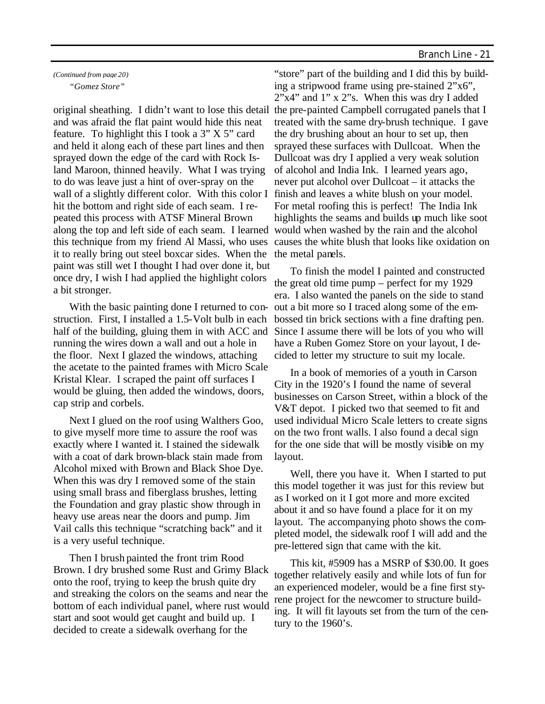*(Continued from page 20) "Gomez Store"*

and was afraid the flat paint would hide this neat feature. To highlight this I took a 3" X 5" card and held it along each of these part lines and then sprayed down the edge of the card with Rock Island Maroon, thinned heavily. What I was trying to do was leave just a hint of over-spray on the wall of a slightly different color. With this color I hit the bottom and right side of each seam. I repeated this process with ATSF Mineral Brown along the top and left side of each seam. I learned would when washed by the rain and the alcohol this technique from my friend Al Massi, who uses it to really bring out steel boxcar sides. When the paint was still wet I thought I had over done it, but once dry, I wish I had applied the highlight colors a bit stronger.

With the basic painting done I returned to construction. First, I installed a 1.5-Volt bulb in each half of the building, gluing them in with ACC and running the wires down a wall and out a hole in the floor. Next I glazed the windows, attaching the acetate to the painted frames with Micro Scale Kristal Klear. I scraped the paint off surfaces I would be gluing, then added the windows, doors, cap strip and corbels.

Next I glued on the roof using Walthers Goo, to give myself more time to assure the roof was exactly where I wanted it. I stained the sidewalk with a coat of dark brown-black stain made from Alcohol mixed with Brown and Black Shoe Dye. When this was dry I removed some of the stain using small brass and fiberglass brushes, letting the Foundation and gray plastic show through in heavy use areas near the doors and pump. Jim Vail calls this technique "scratching back" and it is a very useful technique.

Then I brush painted the front trim Rood Brown. I dry brushed some Rust and Grimy Black onto the roof, trying to keep the brush quite dry and streaking the colors on the seams and near the bottom of each individual panel, where rust would start and soot would get caught and build up. I decided to create a sidewalk overhang for the

original sheathing. I didn't want to lose this detail the pre-painted Campbell corrugated panels that I "store" part of the building and I did this by building a stripwood frame using pre-stained 2"x6", 2"x4" and 1" x 2"s. When this was dry I added treated with the same dry-brush technique. I gave the dry brushing about an hour to set up, then sprayed these surfaces with Dullcoat. When the Dullcoat was dry I applied a very weak solution of alcohol and India Ink. I learned years ago, never put alcohol over Dullcoat – it attacks the finish and leaves a white blush on your model. For metal roofing this is perfect! The India Ink highlights the seams and builds up much like soot causes the white blush that looks like oxidation on the metal panels.

> To finish the model I painted and constructed the great old time pump – perfect for my 1929 era. I also wanted the panels on the side to stand out a bit more so I traced along some of the embossed tin brick sections with a fine drafting pen. Since I assume there will be lots of you who will have a Ruben Gomez Store on your layout, I decided to letter my structure to suit my locale.

> In a book of memories of a youth in Carson City in the 1920's I found the name of several businesses on Carson Street, within a block of the V&T depot. I picked two that seemed to fit and used individual Micro Scale letters to create signs on the two front walls. I also found a decal sign for the one side that will be mostly visible on my layout.

> Well, there you have it. When I started to put this model together it was just for this review but as I worked on it I got more and more excited about it and so have found a place for it on my layout. The accompanying photo shows the completed model, the sidewalk roof I will add and the pre-lettered sign that came with the kit.

> This kit, #5909 has a MSRP of \$30.00. It goes together relatively easily and while lots of fun for an experienced modeler, would be a fine first styrene project for the newcomer to structure building. It will fit layouts set from the turn of the century to the 1960's.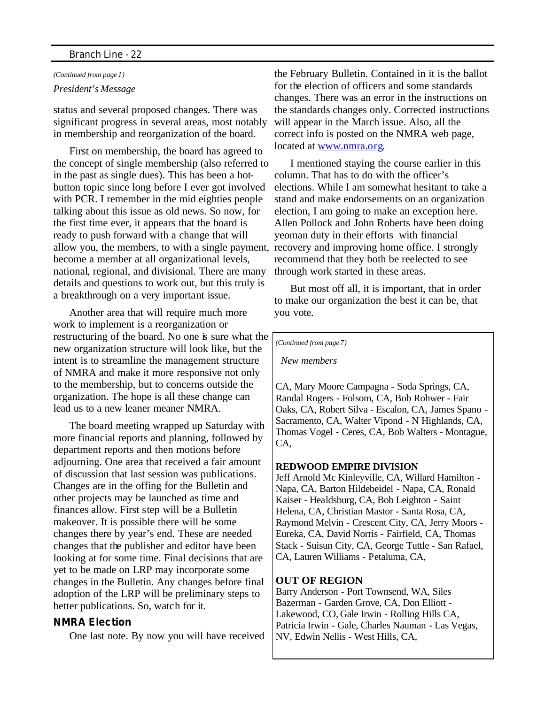#### *(Continued from page 1) President's Message*

status and several proposed changes. There was significant progress in several areas, most notably in membership and reorganization of the board.

First on membership, the board has agreed to the concept of single membership (also referred to in the past as single dues). This has been a hotbutton topic since long before I ever got involved with PCR. I remember in the mid eighties people talking about this issue as old news. So now, for the first time ever, it appears that the board is ready to push forward with a change that will allow you, the members, to with a single payment, recovery and improving home office. I strongly become a member at all organizational levels, national, regional, and divisional. There are many details and questions to work out, but this truly is a breakthrough on a very important issue.

Another area that will require much more work to implement is a reorganization or restructuring of the board. No one is sure what the new organization structure will look like, but the intent is to streamline the management structure of NMRA and make it more responsive not only to the membership, but to concerns outside the organization. The hope is all these change can lead us to a new leaner meaner NMRA.

The board meeting wrapped up Saturday with more financial reports and planning, followed by department reports and then motions before adjourning. One area that received a fair amount of discussion that last session was publications. Changes are in the offing for the Bulletin and other projects may be launched as time and finances allow. First step will be a Bulletin makeover. It is possible there will be some changes there by year's end. These are needed changes that the publisher and editor have been looking at for some time. Final decisions that are yet to be made on LRP may incorporate some changes in the Bulletin. Any changes before final adoption of the LRP will be preliminary steps to better publications. So, watch for it.

#### **NMRA Election**

One last note. By now you will have received

the February Bulletin. Contained in it is the ballot for the election of officers and some standards changes. There was an error in the instructions on the standards changes only. Corrected instructions will appear in the March issue. Also, all the correct info is posted on the NMRA web page, located at www.nmra.org.

I mentioned staying the course earlier in this column. That has to do with the officer's elections. While I am somewhat hesitant to take a stand and make endorsements on an organization election, I am going to make an exception here. Allen Pollock and John Roberts have been doing yeoman duty in their efforts with financial recommend that they both be reelected to see through work started in these areas.

But most off all, it is important, that in order to make our organization the best it can be, that you vote.

*(Continued from page 7)*

*New members*

CA, Mary Moore Campagna - Soda Springs, CA, Randal Rogers - Folsom, CA, Bob Rohwer - Fair Oaks, CA, Robert Silva - Escalon, CA, James Spano - Sacramento, CA, Walter Vipond - N Highlands, CA, Thomas Vogel - Ceres, CA, Bob Walters - Montague, CA,

#### **REDWOOD EMPIRE DIVISION**

Jeff Arnold Mc Kinleyville, CA, Willard Hamilton - Napa, CA, Barton Hildebeidel - Napa, CA, Ronald Kaiser - Healdsburg, CA, Bob Leighton - Saint Helena, CA, Christian Mastor - Santa Rosa, CA, Raymond Melvin - Crescent City, CA, Jerry Moors - Eureka, CA, David Norris - Fairfield, CA, Thomas Stack - Suisun City, CA, George Tuttle - San Rafael, CA, Lauren Williams - Petaluma, CA,

#### **OUT OF REGION**

Barry Anderson - Port Townsend, WA, Siles Bazerman - Garden Grove, CA, Don Elliott - Lakewood, CO, Gale Irwin - Rolling Hills CA, Patricia Irwin - Gale, Charles Nauman - Las Vegas, NV, Edwin Nellis - West Hills, CA,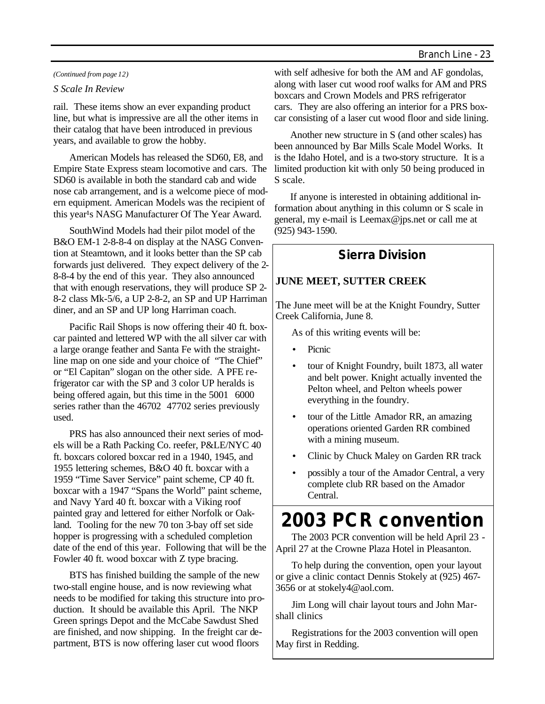#### *(Continued from page 12)*

#### *S Scale In Review*

rail. These items show an ever expanding product line, but what is impressive are all the other items in their catalog that have been introduced in previous years, and available to grow the hobby.

American Models has released the SD60, E8, and Empire State Express steam locomotive and cars. The SD60 is available in both the standard cab and wide nose cab arrangement, and is a welcome piece of modern equipment. American Models was the recipient of this year<sup>1</sup>s NASG Manufacturer Of The Year Award.

SouthWind Models had their pilot model of the B&O EM-1 2-8-8-4 on display at the NASG Convention at Steamtown, and it looks better than the SP cab forwards just delivered. They expect delivery of the 2- 8-8-4 by the end of this year. They also announced that with enough reservations, they will produce SP 2- 8-2 class Mk-5/6, a UP 2-8-2, an SP and UP Harriman diner, and an SP and UP long Harriman coach.

Pacific Rail Shops is now offering their 40 ft. boxcar painted and lettered WP with the all silver car with a large orange feather and Santa Fe with the straightline map on one side and your choice of "The Chief" or "El Capitan" slogan on the other side. A PFE refrigerator car with the SP and 3 color UP heralds is being offered again, but this time in the 5001 6000 series rather than the 46702 47702 series previously used.

PRS has also announced their next series of models will be a Rath Packing Co. reefer, P&LE/NYC 40 ft. boxcars colored boxcar red in a 1940, 1945, and 1955 lettering schemes, B&O 40 ft. boxcar with a 1959 "Time Saver Service" paint scheme, CP 40 ft. boxcar with a 1947 "Spans the World" paint scheme, and Navy Yard 40 ft. boxcar with a Viking roof painted gray and lettered for either Norfolk or Oakland. Tooling for the new 70 ton 3-bay off set side hopper is progressing with a scheduled completion date of the end of this year. Following that will be the Fowler 40 ft. wood boxcar with Z type bracing.

BTS has finished building the sample of the new two-stall engine house, and is now reviewing what needs to be modified for taking this structure into production. It should be available this April. The NKP Green springs Depot and the McCabe Sawdust Shed are finished, and now shipping. In the freight car department, BTS is now offering laser cut wood floors

with self adhesive for both the AM and AF gondolas, along with laser cut wood roof walks for AM and PRS boxcars and Crown Models and PRS refrigerator cars. They are also offering an interior for a PRS boxcar consisting of a laser cut wood floor and side lining.

Another new structure in S (and other scales) has been announced by Bar Mills Scale Model Works. It is the Idaho Hotel, and is a two-story structure. It is a limited production kit with only 50 being produced in S scale.

If anyone is interested in obtaining additional information about anything in this column or S scale in general, my e-mail is Leemax@jps.net or call me at (925) 943-1590.

#### **Sierra Division**

#### **JUNE MEET, SUTTER CREEK**

The June meet will be at the Knight Foundry, Sutter Creek California, June 8.

As of this writing events will be:

- Picnic
- tour of Knight Foundry, built 1873, all water and belt power. Knight actually invented the Pelton wheel, and Pelton wheels power everything in the foundry.
- tour of the Little Amador RR, an amazing operations oriented Garden RR combined with a mining museum.
- Clinic by Chuck Maley on Garden RR track
- possibly a tour of the Amador Central, a very complete club RR based on the Amador Central.

## **2003 PCR convention**

The 2003 PCR convention will be held April 23 - April 27 at the Crowne Plaza Hotel in Pleasanton.

To help during the convention, open your layout or give a clinic contact Dennis Stokely at (925) 467- 3656 or at stokely4@aol.com.

Jim Long will chair layout tours and John Marshall clinics

Registrations for the 2003 convention will open May first in Redding.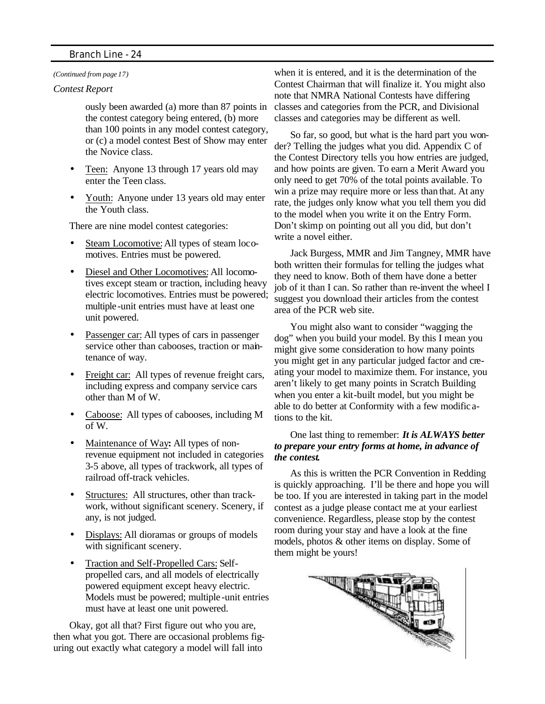#### *(Continued from page 17)*

#### *Contest Report*

ously been awarded (a) more than 87 points in the contest category being entered, (b) more than 100 points in any model contest category, or (c) a model contest Best of Show may enter the Novice class.

- Teen: Anyone 13 through 17 years old may enter the Teen class.
- Youth: Anyone under 13 years old may enter the Youth class.

There are nine model contest categories:

- Steam Locomotive: All types of steam locomotives. Entries must be powered.
- Diesel and Other Locomotives: All locomotives except steam or traction, including heavy electric locomotives. Entries must be powered; multiple-unit entries must have at least one unit powered.
- Passenger car: All types of cars in passenger service other than cabooses, traction or maintenance of way.
- Freight car: All types of revenue freight cars, including express and company service cars other than M of W.
- Caboose: All types of cabooses, including M of W.
- Maintenance of Way**:** All types of nonrevenue equipment not included in categories 3-5 above, all types of trackwork, all types of railroad off-track vehicles.
- Structures: All structures, other than trackwork, without significant scenery. Scenery, if any, is not judged.
- Displays: All dioramas or groups of models with significant scenery.
- Traction and Self-Propelled Cars: Selfpropelled cars, and all models of electrically powered equipment except heavy electric. Models must be powered; multiple -unit entries must have at least one unit powered.

Okay, got all that? First figure out who you are, then what you got. There are occasional problems figuring out exactly what category a model will fall into

when it is entered, and it is the determination of the Contest Chairman that will finalize it. You might also note that NMRA National Contests have differing classes and categories from the PCR, and Divisional classes and categories may be different as well.

So far, so good, but what is the hard part you wonder? Telling the judges what you did. Appendix C of the Contest Directory tells you how entries are judged, and how points are given. To earn a Merit Award you only need to get 70% of the total points available. To win a prize may require more or less than that. At any rate, the judges only know what you tell them you did to the model when you write it on the Entry Form. Don't skimp on pointing out all you did, but don't write a novel either.

Jack Burgess, MMR and Jim Tangney, MMR have both written their formulas for telling the judges what they need to know. Both of them have done a better job of it than I can. So rather than re-invent the wheel I suggest you download their articles from the contest area of the PCR web site.

You might also want to consider "wagging the dog" when you build your model. By this I mean you might give some consideration to how many points you might get in any particular judged factor and creating your model to maximize them. For instance, you aren't likely to get many points in Scratch Building when you enter a kit-built model, but you might be able to do better at Conformity with a few modific ations to the kit.

#### One last thing to remember: *It is ALWAYS better to prepare your entry forms at home, in advance of the contest.*

As this is written the PCR Convention in Redding is quickly approaching. I'll be there and hope you will be too. If you are interested in taking part in the model contest as a judge please contact me at your earliest convenience. Regardless, please stop by the contest room during your stay and have a look at the fine models, photos & other items on display. Some of them might be yours!

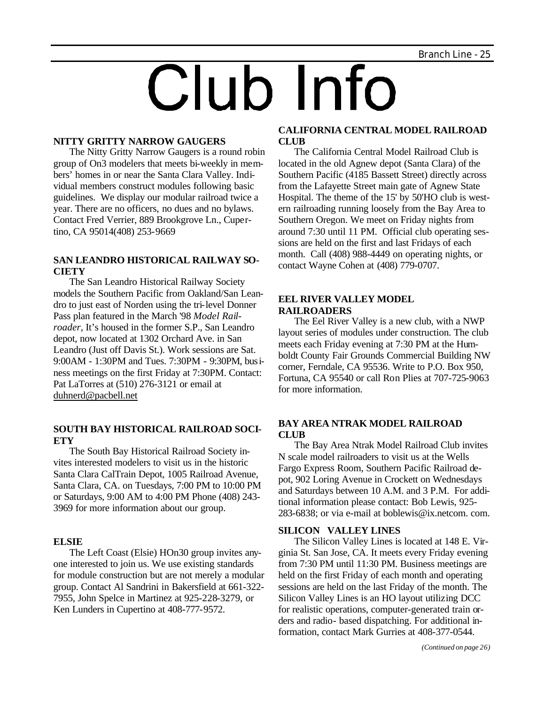# Club Info

#### **NITTY GRITTY NARROW GAUGERS**

The Nitty Gritty Narrow Gaugers is a round robin group of On3 modelers that meets bi-weekly in members' homes in or near the Santa Clara Valley. Individual members construct modules following basic guidelines. We display our modular railroad twice a year. There are no officers, no dues and no bylaws. Contact Fred Verrier, 889 Brookgrove Ln., Cupertino, CA 95014(408) 253-9669

#### **SAN LEANDRO HISTORICAL RAILWAY SO-CIETY**

The San Leandro Historical Railway Society models the Southern Pacific from Oakland/San Leandro to just east of Norden using the tri-level Donner Pass plan featured in the March '98 *Model Railroader*, It's housed in the former S.P., San Leandro depot, now located at 1302 Orchard Ave. in San Leandro (Just off Davis St.). Work sessions are Sat. 9:00AM - 1:30PM and Tues. 7:30PM - 9:30PM, business meetings on the first Friday at 7:30PM. Contact: Pat LaTorres at (510) 276-3121 or email at duhnerd@pacbell.net

#### **SOUTH BAY HISTORICAL RAILROAD SOCI-ETY**

The South Bay Historical Railroad Society invites interested modelers to visit us in the historic Santa Clara CalTrain Depot, 1005 Railroad Avenue, Santa Clara, CA. on Tuesdays, 7:00 PM to 10:00 PM or Saturdays, 9:00 AM to 4:00 PM Phone (408) 243- 3969 for more information about our group.

#### **ELSIE**

The Left Coast (Elsie) HOn30 group invites anyone interested to join us. We use existing standards for module construction but are not merely a modular group. Contact Al Sandrini in Bakersfield at 661-322- 7955, John Spelce in Martinez at 925-228-3279, or Ken Lunders in Cupertino at 408-777-9572.

#### **CALIFORNIA CENTRAL MODEL RAILROAD CLUB**

The California Central Model Railroad Club is located in the old Agnew depot (Santa Clara) of the Southern Pacific (4185 Bassett Street) directly across from the Lafayette Street main gate of Agnew State Hospital. The theme of the 15' by 50'HO club is western railroading running loosely from the Bay Area to Southern Oregon. We meet on Friday nights from around 7:30 until 11 PM. Official club operating sessions are held on the first and last Fridays of each month. Call (408) 988-4449 on operating nights, or contact Wayne Cohen at (408) 779-0707.

#### **EEL RIVER VALLEY MODEL RAILROADERS**

The Eel River Valley is a new club, with a NWP layout series of modules under construction. The club meets each Friday evening at 7:30 PM at the Humboldt County Fair Grounds Commercial Building NW corner, Ferndale, CA 95536. Write to P.O. Box 950, Fortuna, CA 95540 or call Ron Plies at 707-725-9063 for more information.

#### **BAY AREA NTRAK MODEL RAILROAD CLUB**

The Bay Area Ntrak Model Railroad Club invites N scale model railroaders to visit us at the Wells Fargo Express Room, Southern Pacific Railroad depot, 902 Loring Avenue in Crockett on Wednesdays and Saturdays between 10 A.M. and 3 P.M. For additional information please contact: Bob Lewis, 925- 283-6838; or via e-mail at boblewis@ix.netcom. com.

#### **SILICON VALLEY LINES**

The Silicon Valley Lines is located at 148 E. Virginia St. San Jose, CA. It meets every Friday evening from 7:30 PM until 11:30 PM. Business meetings are held on the first Friday of each month and operating sessions are held on the last Friday of the month. The Silicon Valley Lines is an HO layout utilizing DCC for realistic operations, computer-generated train orders and radio- based dispatching. For additional information, contact Mark Gurries at 408-377-0544.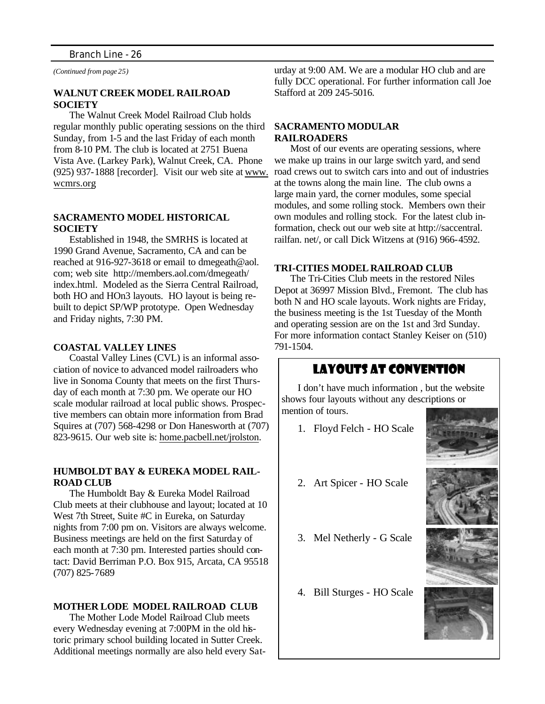*(Continued from page 25)*

#### **WALNUT CREEK MODEL RAILROAD SOCIETY**

The Walnut Creek Model Railroad Club holds regular monthly public operating sessions on the third Sunday, from 1-5 and the last Friday of each month from 8-10 PM. The club is located at 2751 Buena Vista Ave. (Larkey Park), Walnut Creek, CA. Phone (925) 937-1888 [recorder]. Visit our web site at www. wcmrs.org

#### **SACRAMENTO MODEL HISTORICAL SOCIETY**

Established in 1948, the SMRHS is located at 1990 Grand Avenue, Sacramento, CA and can be reached at 916-927-3618 or email to dmegeath@aol. com; web site http://members.aol.com/dmegeath/ index.html. Modeled as the Sierra Central Railroad, both HO and HOn3 layouts. HO layout is being rebuilt to depict SP/WP prototype. Open Wednesday and Friday nights, 7:30 PM.

#### **COASTAL VALLEY LINES**

Coastal Valley Lines (CVL) is an informal association of novice to advanced model railroaders who live in Sonoma County that meets on the first Thursday of each month at 7:30 pm. We operate our HO scale modular railroad at local public shows. Prospective members can obtain more information from Brad Squires at (707) 568-4298 or Don Hanesworth at (707) 823-9615. Our web site is: home.pacbell.net/jrolston.

#### **HUMBOLDT BAY & EUREKA MODEL RAIL-ROAD CLUB**

The Humboldt Bay & Eureka Model Railroad Club meets at their clubhouse and layout; located at 10 West 7th Street, Suite #C in Eureka, on Saturday nights from 7:00 pm on. Visitors are always welcome. Business meetings are held on the first Saturday of each month at 7:30 pm. Interested parties should contact: David Berriman P.O. Box 915, Arcata, CA 95518 (707) 825-7689

#### **MOTHER LODE MODEL RAILROAD CLUB**

The Mother Lode Model Railroad Club meets every Wednesday evening at 7:00PM in the old historic primary school building located in Sutter Creek. Additional meetings normally are also held every Saturday at 9:00 AM. We are a modular HO club and are fully DCC operational. For further information call Joe Stafford at 209 245-5016.

#### **SACRAMENTO MODULAR RAILROADERS**

Most of our events are operating sessions, where we make up trains in our large switch yard, and send road crews out to switch cars into and out of industries at the towns along the main line. The club owns a large main yard, the corner modules, some special modules, and some rolling stock. Members own their own modules and rolling stock. For the latest club information, check out our web site at http://saccentral. railfan. net/, or call Dick Witzens at (916) 966-4592.

#### **TRI-CITIES MODEL RAILROAD CLUB**

The Tri-Cities Club meets in the restored Niles Depot at 36997 Mission Blvd., Fremont. The club has both N and HO scale layouts. Work nights are Friday, the business meeting is the 1st Tuesday of the Month and operating session are on the 1st and 3rd Sunday. For more information contact Stanley Keiser on (510) 791-1504.

#### Layouts At Convention

I don't have much information , but the website shows four layouts without any descriptions or mention of tours.

- 1. Floyd Felch HO Scale
- 2. Art Spicer HO Scale
- 
- 3. Mel Netherly G Scale
- 4. Bill Sturges HO Scale

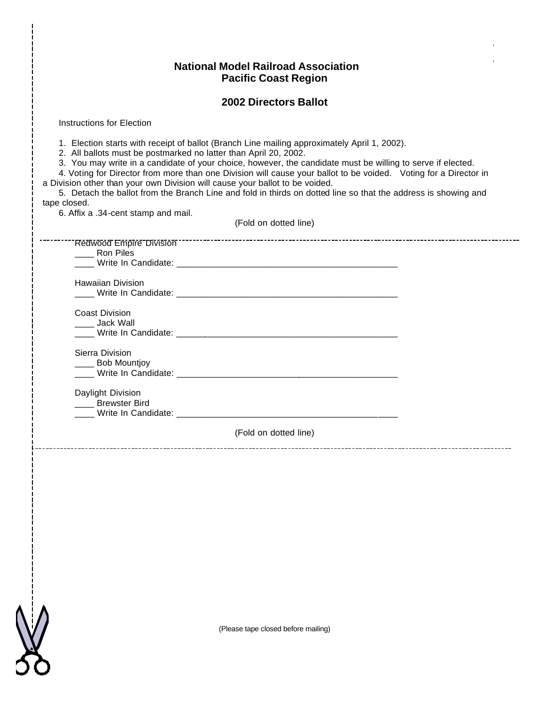#### **National Model Railroad Association Pacific Coast Region**

#### **2002 Directors Ballot**

Instructions for Election

1. Election starts with receipt of ballot (Branch Line mailing approximately April 1, 2002).

2. All ballots must be postmarked no latter than April 20, 2002.

3. You may write in a candidate of your choice, however, the candidate must be willing to serve if elected.

4. Voting for Director from more than one Division will cause your ballot to be voided. Voting for a Director in a Division other than your own Division will cause your ballot to be voided.

5. Detach the ballot from the Branch Line and fold in thirds on dotted line so that the address is showing and tape closed.

6. Affix a .34-cent stamp and mail.

(Fold on dotted line)

| <b>Redwood Empire Division</b> |                                                                                                                 |  |
|--------------------------------|-----------------------------------------------------------------------------------------------------------------|--|
| <b>Ron Piles</b>               |                                                                                                                 |  |
|                                | LACK Virte In Candidate: LACK Management of the Candidate: LACK Management Contract Management Contract Managem |  |
| <b>Hawaiian Division</b>       |                                                                                                                 |  |
|                                |                                                                                                                 |  |
| <b>Coast Division</b>          |                                                                                                                 |  |
| ____ Jack Wall                 |                                                                                                                 |  |
|                                |                                                                                                                 |  |
| Sierra Division                |                                                                                                                 |  |
| ____ Bob Mountjoy              |                                                                                                                 |  |
|                                |                                                                                                                 |  |
| Daylight Division              |                                                                                                                 |  |
| <b>Brewster Bird</b>           |                                                                                                                 |  |
|                                |                                                                                                                 |  |
|                                | (Fold on dotted line)                                                                                           |  |



(Please tape closed before mailing)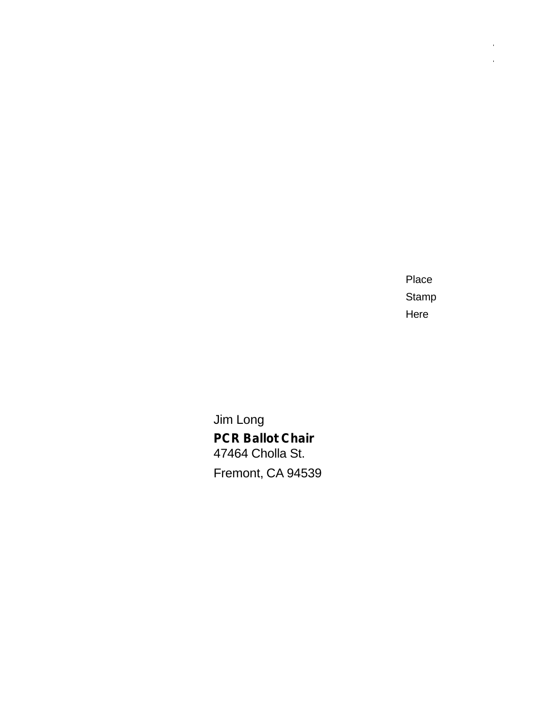**Place Place Place Place** e and the stamp of the stamp of the stamp of the stamp of the stamp of the stamp of the stamp of the stamp of Here are the contract of the contract of the contract of the contract of the contract of the contract of the contract of the contract of the contract of the contract of the contract of the contract of the contract of the c

 $\hat{\mathbf{r}}$  $\hat{\mathbf{r}}$ 

 Jim Long  **PCR Ballot Chair** 47464 Cholla St. Fremont, CA 94539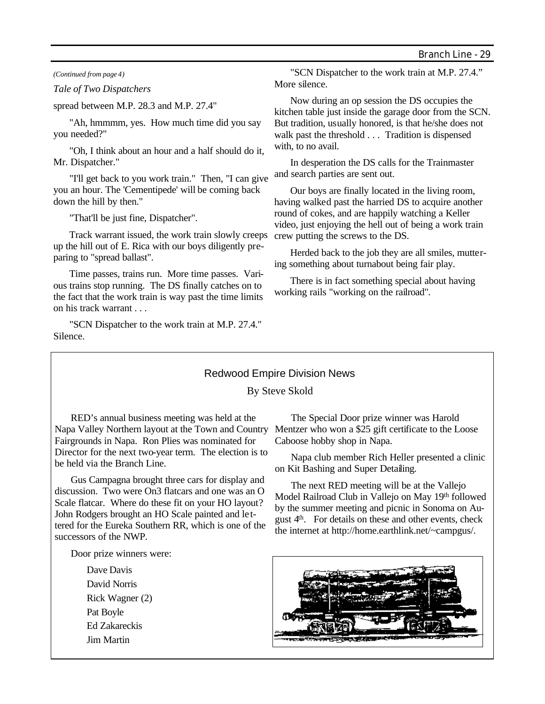*(Continued from page 4)*

*Tale of Two Dispatchers*

spread between M.P. 28.3 and M.P. 27.4"

"Ah, hmmmm, yes. How much time did you say you needed?"

"Oh, I think about an hour and a half should do it, Mr. Dispatcher."

"I'll get back to you work train." Then, "I can give you an hour. The 'Cementipede' will be coming back down the hill by then."

"That'll be just fine, Dispatcher".

Track warrant issued, the work train slowly creeps up the hill out of E. Rica with our boys diligently preparing to "spread ballast".

Time passes, trains run. More time passes. Various trains stop running. The DS finally catches on to the fact that the work train is way past the time limits on his track warrant . . .

"SCN Dispatcher to the work train at M.P. 27.4." Silence.

"SCN Dispatcher to the work train at M.P. 27.4." More silence.

Now during an op session the DS occupies the kitchen table just inside the garage door from the SCN. But tradition, usually honored, is that he/she does not walk past the threshold . . . Tradition is dispensed with, to no avail.

In desperation the DS calls for the Trainmaster and search parties are sent out.

Our boys are finally located in the living room, having walked past the harried DS to acquire another round of cokes, and are happily watching a Keller video, just enjoying the hell out of being a work train crew putting the screws to the DS.

Herded back to the job they are all smiles, muttering something about turnabout being fair play.

There is in fact something special about having working rails "working on the railroad".

#### Redwood Empire Division News

By Steve Skold

RED's annual business meeting was held at the Napa Valley Northern layout at the Town and Country Fairgrounds in Napa. Ron Plies was nominated for Director for the next two-year term. The election is to be held via the Branch Line.

Gus Campagna brought three cars for display and discussion. Two were On3 flatcars and one was an O Scale flatcar. Where do these fit on your HO layout? John Rodgers brought an HO Scale painted and le ttered for the Eureka Southern RR, which is one of the successors of the NWP.

Door prize winners were:

 Dave Davis David Norris Rick Wagner (2) Pat Boyle Ed Zakareckis Jim Martin

The Special Door prize winner was Harold Mentzer who won a \$25 gift certificate to the Loose Caboose hobby shop in Napa.

Napa club member Rich Heller presented a clinic on Kit Bashing and Super Detailing.

The next RED meeting will be at the Vallejo Model Railroad Club in Vallejo on May 19th followed by the summer meeting and picnic in Sonoma on August 4th. For details on these and other events, check the internet at http://home.earthlink.net/~campgus/.

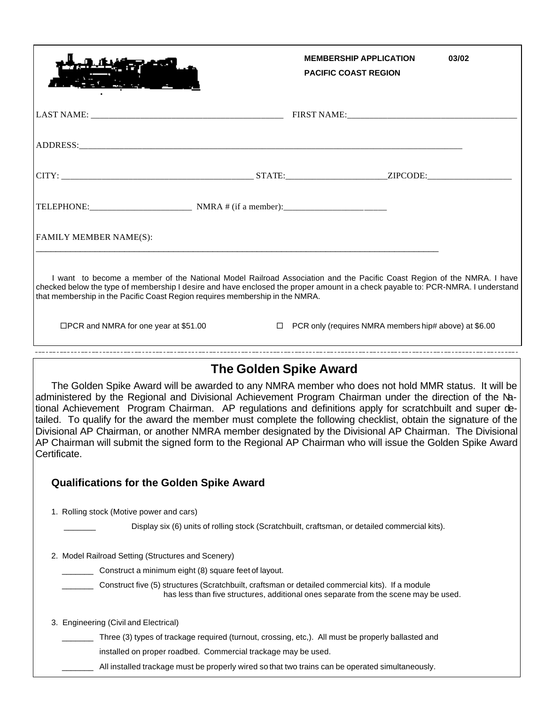|                                                                                                                                                                                                                                                                                                                                                                                                                                                                                                                                                                                                                                                                                     |                                                                                                                                                                                         | <b>MEMBERSHIP APPLICATION</b><br><b>PACIFIC COAST REGION</b> | 03/02 |
|-------------------------------------------------------------------------------------------------------------------------------------------------------------------------------------------------------------------------------------------------------------------------------------------------------------------------------------------------------------------------------------------------------------------------------------------------------------------------------------------------------------------------------------------------------------------------------------------------------------------------------------------------------------------------------------|-----------------------------------------------------------------------------------------------------------------------------------------------------------------------------------------|--------------------------------------------------------------|-------|
|                                                                                                                                                                                                                                                                                                                                                                                                                                                                                                                                                                                                                                                                                     |                                                                                                                                                                                         |                                                              |       |
|                                                                                                                                                                                                                                                                                                                                                                                                                                                                                                                                                                                                                                                                                     |                                                                                                                                                                                         |                                                              |       |
|                                                                                                                                                                                                                                                                                                                                                                                                                                                                                                                                                                                                                                                                                     |                                                                                                                                                                                         |                                                              |       |
|                                                                                                                                                                                                                                                                                                                                                                                                                                                                                                                                                                                                                                                                                     |                                                                                                                                                                                         |                                                              |       |
|                                                                                                                                                                                                                                                                                                                                                                                                                                                                                                                                                                                                                                                                                     |                                                                                                                                                                                         |                                                              |       |
| FAMILY MEMBER NAME(S):                                                                                                                                                                                                                                                                                                                                                                                                                                                                                                                                                                                                                                                              |                                                                                                                                                                                         |                                                              |       |
| I want to become a member of the National Model Railroad Association and the Pacific Coast Region of the NMRA. I have<br>checked below the type of membership I desire and have enclosed the proper amount in a check payable to: PCR-NMRA. I understand<br>that membership in the Pacific Coast Region requires membership in the NMRA.                                                                                                                                                                                                                                                                                                                                            |                                                                                                                                                                                         |                                                              |       |
| □PCR and NMRA for one year at \$51.00                                                                                                                                                                                                                                                                                                                                                                                                                                                                                                                                                                                                                                               |                                                                                                                                                                                         | $\Box$ PCR only (requires NMRA members hip# above) at \$6.00 |       |
|                                                                                                                                                                                                                                                                                                                                                                                                                                                                                                                                                                                                                                                                                     |                                                                                                                                                                                         |                                                              |       |
|                                                                                                                                                                                                                                                                                                                                                                                                                                                                                                                                                                                                                                                                                     | <b>The Golden Spike Award</b>                                                                                                                                                           |                                                              |       |
| The Golden Spike Award will be awarded to any NMRA member who does not hold MMR status. It will be<br>administered by the Regional and Divisional Achievement Program Chairman under the direction of the Na-<br>tional Achievement Program Chairman. AP regulations and definitions apply for scratchbuilt and super de-<br>tailed. To qualify for the award the member must complete the following checklist, obtain the signature of the<br>Divisional AP Chairman, or another NMRA member designated by the Divisional AP Chairman. The Divisional<br>AP Chairman will submit the signed form to the Regional AP Chairman who will issue the Golden Spike Award<br>Certificate. |                                                                                                                                                                                         |                                                              |       |
| <b>Qualifications for the Golden Spike Award</b>                                                                                                                                                                                                                                                                                                                                                                                                                                                                                                                                                                                                                                    |                                                                                                                                                                                         |                                                              |       |
| 1. Rolling stock (Motive power and cars)                                                                                                                                                                                                                                                                                                                                                                                                                                                                                                                                                                                                                                            | Display six (6) units of rolling stock (Scratchbuilt, craftsman, or detailed commercial kits).                                                                                          |                                                              |       |
| 2. Model Railroad Setting (Structures and Scenery)                                                                                                                                                                                                                                                                                                                                                                                                                                                                                                                                                                                                                                  |                                                                                                                                                                                         |                                                              |       |
| Construct a minimum eight (8) square feet of layout.                                                                                                                                                                                                                                                                                                                                                                                                                                                                                                                                                                                                                                |                                                                                                                                                                                         |                                                              |       |
|                                                                                                                                                                                                                                                                                                                                                                                                                                                                                                                                                                                                                                                                                     | Construct five (5) structures (Scratchbuilt, craftsman or detailed commercial kits). If a module<br>has less than five structures, additional ones separate from the scene may be used. |                                                              |       |
| 3. Engineering (Civil and Electrical)                                                                                                                                                                                                                                                                                                                                                                                                                                                                                                                                                                                                                                               |                                                                                                                                                                                         |                                                              |       |
|                                                                                                                                                                                                                                                                                                                                                                                                                                                                                                                                                                                                                                                                                     | Three (3) types of trackage required (turnout, crossing, etc,). All must be properly ballasted and                                                                                      |                                                              |       |
|                                                                                                                                                                                                                                                                                                                                                                                                                                                                                                                                                                                                                                                                                     | installed on proper roadbed. Commercial trackage may be used.                                                                                                                           |                                                              |       |
|                                                                                                                                                                                                                                                                                                                                                                                                                                                                                                                                                                                                                                                                                     | All installed trackage must be properly wired so that two trains can be operated simultaneously.                                                                                        |                                                              |       |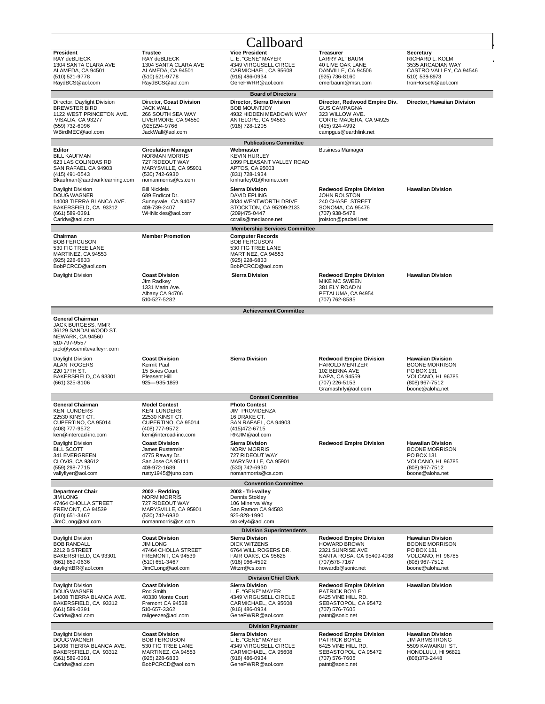| Callboard                                                                                                                                                                                                                                                |                                                                                                                                                                                                                                                          |                                                                                                                                                                                                                                                     |                                                                                                                                              |                                                                                                                           |  |  |
|----------------------------------------------------------------------------------------------------------------------------------------------------------------------------------------------------------------------------------------------------------|----------------------------------------------------------------------------------------------------------------------------------------------------------------------------------------------------------------------------------------------------------|-----------------------------------------------------------------------------------------------------------------------------------------------------------------------------------------------------------------------------------------------------|----------------------------------------------------------------------------------------------------------------------------------------------|---------------------------------------------------------------------------------------------------------------------------|--|--|
| President<br>RAY deBLIECK<br>1304 SANTA CLARA AVE<br>ALAMEDA, CA 94501<br>(510) 521-9778<br>RaydBCS@aol.com                                                                                                                                              | Trustee<br>RAY deBLIECK<br>1304 SANTA CLARA AVE<br>ALAMEDA, CA 94501<br>(510) 521-9778<br>RaydBCS@aol.com                                                                                                                                                | <b>Vice President</b><br>L. E. "GENE" MAYER<br>4349 VIRGUSELL CIRCLE<br>CARMICHAEL, CA 95608<br>(916) 486-0934<br>GeneFWRR@aol.com                                                                                                                  | Treasurer<br>LARRY ALTBAUM<br>40 LIVE OAK LANE<br>DANVILLE, CA 94506<br>(925) 736-8160<br>emerbaum@msn.com                                   | Secretary<br>RICHARD L. KOLM<br>3535 ARCADIAN WAY<br>CASTRO VALLEY, CA 94546<br>510) 538-8973<br>IronHorseK@aol.com       |  |  |
|                                                                                                                                                                                                                                                          |                                                                                                                                                                                                                                                          | <b>Board of Directors</b>                                                                                                                                                                                                                           |                                                                                                                                              |                                                                                                                           |  |  |
| Director, Daylight Division<br><b>BREWSTER BIRD</b><br>1122 WEST PRINCETON AVE.<br>VISALIA, CA 93277<br>(559) 732-6096<br>WBirdMEC@aol.com                                                                                                               | Director, Coast Division<br><b>JACK WALL</b><br>266 SOUTH SEA WAY<br>LIVERMORE, CA 94550<br>(925)294-9766<br>JackWall@aol.com                                                                                                                            | Director, Sierra Division<br><b>BOB MOUNTJOY</b><br>4932 HIDDEN MEADOWN WAY<br>ANTELOPE, CA 94583<br>(916) 728-1205                                                                                                                                 | Director, Redwood Empire Div.<br><b>GUS CAMPAGNA</b><br>323 WILLOW AVE.<br>CORTE MADERA, CA 94925<br>(415) 924-4992<br>campgus@earthlink.net | Director, Hawaiian Division                                                                                               |  |  |
|                                                                                                                                                                                                                                                          |                                                                                                                                                                                                                                                          | <b>Publications Committee</b>                                                                                                                                                                                                                       |                                                                                                                                              |                                                                                                                           |  |  |
| Editor<br><b>BILL KAUFMAN</b><br>623 LAS COLINDAS RD<br>SAN RAFAEL CA 94903<br>(415) 491-0543<br>Bkaufman@aardvarklearning.com<br>Daylight Division                                                                                                      | <b>Circulation Manager</b><br><b>NORMAN MORRIS</b><br>727 RIDEOUT WAY<br>MARYSVILLE, CA 95901<br>(530) 742-6930<br>nomanmorris@cs.com<br><b>Bill Nicklels</b>                                                                                            | Webmaster<br><b>KEVIN HURLEY</b><br>1099 PLEASANT VALLEY ROAD<br>APTOS, CA 95003<br>(831) 728-1934<br>kmhurley01@home.com<br>Sierra Division                                                                                                        | <b>Business Mamager</b><br><b>Redwood Empire Division</b>                                                                                    | <b>Hawaiian Division</b>                                                                                                  |  |  |
| <b>DOUG WAGNER</b><br>14008 TIERRA BLANCA AVE.<br>BAKERSFIELD, CA 93312<br>(661) 589-0391<br>Carldw@aol.com                                                                                                                                              | 689 Endicot Dr.<br>Sunnyvale, CA 94087<br>408-739-2407<br>WHNickles@aol.com                                                                                                                                                                              | <b>DAVID EPLING</b><br>3034 WENTWORTH DRIVE<br>STOCKTON, CA 95209-2133<br>(209) 475-0447<br>ccrails@mediaone.net                                                                                                                                    | <b>JOHN ROLSTON</b><br>240 CHASE STREET<br>SONOMA, CA 95476<br>(707) 938-5478<br>jrolston@pacbell.net                                        |                                                                                                                           |  |  |
| Chairman<br><b>BOB FERGUSON</b><br>530 FIG TREE LANE<br>MARTINEZ, CA 94553<br>(925) 228-6833<br>BobPCRCD@aol.com<br>Daylight Division                                                                                                                    | <b>Member Promotion</b><br><b>Coast Division</b><br>Jim Radkey<br>1331 Marin Ave.<br>Albany CA 94706                                                                                                                                                     | <b>Membership Services Committee</b><br><b>Computer Records</b><br><b>BOB FERGUSON</b><br>530 FIG TREE LANE<br>MARTINEZ. CA 94553<br>(925) 228-6833<br>BobPCRCD@aol.com<br>Sierra Division                                                          | <b>Redwood Empire Division</b><br>MIKE MC SWEEN<br>381 ELY ROAD N<br>PETALUMA, CA 94954                                                      | <b>Hawaiian Division</b>                                                                                                  |  |  |
|                                                                                                                                                                                                                                                          | 510-527-5282                                                                                                                                                                                                                                             |                                                                                                                                                                                                                                                     | (707) 762-8585                                                                                                                               |                                                                                                                           |  |  |
| <b>General Chairman</b><br><b>JACK BURGESS, MMR</b><br>36129 SANDALWOOD ST.<br>NEWARK, CA 94560<br>510-797-9557<br>jack@yosemitevalleyrr.com<br>Daylight Division<br><b>ALAN ROGERS</b><br>220 17TH ST.<br>BAKERSFIELD,,CA 93301<br>(661) 325-8106       | <b>Coast Division</b><br>Kermit Paul<br>15 Boies Court<br>Pleasent Hill<br>925-935-1859                                                                                                                                                                  | <b>Achievement Committee</b><br>Sierra Division                                                                                                                                                                                                     | <b>Redwood Empire Division</b><br><b>HAROLD MENTZER</b><br>102 BERNA AVE<br>NAPA, CA 94559<br>(707) 226-5153<br>Gramashrly@aol.com           | <b>Hawaiian Division</b><br><b>BOONE MORRISON</b><br>PO BOX 131<br>VOLCANO, HI 96785<br>(808) 967-7512<br>boone@aloha.net |  |  |
|                                                                                                                                                                                                                                                          |                                                                                                                                                                                                                                                          | <b>Contest Committee</b>                                                                                                                                                                                                                            |                                                                                                                                              |                                                                                                                           |  |  |
| <b>General Chairman</b><br><b>KEN LUNDERS</b><br>22530 KINST CT.<br>CUPERTINO, CA 95014<br>(408) 777-9572<br>ken@intercad-inc.com<br>Daylight Division<br><b>BILL SCOTT</b><br>341 EVERGREEN<br>CLOVIS, CA 93612<br>(559) 298-7715<br>vallyflyer@aol.com | <b>Model Contest</b><br><b>KEN LUNDERS</b><br>22530 KINST CT.<br>CUPERTINO, CA 95014<br>(408) 777-9572<br>ken@intercad-inc.com<br><b>Coast Division</b><br>James Rustermier<br>4775 Raway Dr.<br>San Jose CA 95111<br>408-972-1689<br>rusty1945@juno.com | <b>Photo Contest</b><br><b>JIM PROVIDENZA</b><br>16 DRAKE CT.<br>SAN RAFAEL, CA 94903<br>(415)472-6715<br>RRJIM@aol.com<br>Sierra Division<br><b>NORM MORRIS</b><br>727 RIDEOUT WAY<br>MARYSVILLE, CA 95901<br>(530) 742-6930<br>nomanmorris@cs.com | <b>Redwood Empire Division</b>                                                                                                               | <b>Hawaiian Division</b><br><b>BOONE MORRISON</b><br>PO BOX 131<br>VOLCANO, HI 96785<br>(808) 967-7512<br>boone@aloha.net |  |  |
| <b>Convention Committee</b>                                                                                                                                                                                                                              |                                                                                                                                                                                                                                                          |                                                                                                                                                                                                                                                     |                                                                                                                                              |                                                                                                                           |  |  |
| <b>Department Chair</b><br><b>JIM LONG</b><br>47464 CHOLLA STREET<br>FREMONT, CA 94539<br>(510) 651-3467<br>JimCLong@aol.com                                                                                                                             | 2002 - Reddina<br><b>NORM MORRIS</b><br>727 RIDEOUT WAY<br>MARYSVILLE, CA 95901<br>(530) 742-6930<br>nomanmorris@cs.com                                                                                                                                  | 2003 - Tri-valley<br>Dennis Stokley<br>106 Minerva Way<br>San Ramon CA 94583<br>925-828-1990<br>stokely4@aol.com                                                                                                                                    |                                                                                                                                              |                                                                                                                           |  |  |
| <b>Division Superintendents</b><br>Daylight Division<br><b>Coast Division</b><br>Sierra Division<br><b>Redwood Empire Division</b><br><b>Hawaiian Division</b>                                                                                           |                                                                                                                                                                                                                                                          |                                                                                                                                                                                                                                                     |                                                                                                                                              |                                                                                                                           |  |  |
| <b>BOB RANDALL</b><br>2212 B STREET<br>BAKERSFIELD, CA 93301<br>(661) 859-0636<br>daylightBR@aol.com                                                                                                                                                     | <b>JIM LONG</b><br>47464 CHOLLA STREET<br>FREMONT, CA 94539<br>(510) 651-3467<br>JimCLong@aol.com                                                                                                                                                        | <b>DICK WITZENS</b><br>6764 WILL ROGERS DR.<br>FAIR OAKS, CA 95628<br>(916) 966-4592<br>Witzrr@cs.com                                                                                                                                               | <b>HOWARD BROWN</b><br>2321 SUNRISE AVE<br>SANTA ROSA, CA 95409-4038<br>(707) 578-7167<br>howardb@sonic.net                                  | <b>BOONE MORRISON</b><br>PO BOX 131<br>VOLCANO, HI 96785<br>(808) 967-7512<br>boone@aloha.net                             |  |  |
| Daylight Division<br><b>DOUG WAGNER</b><br>14008 TIERRA BLANCA AVE.<br>BAKERSFIELD, CA 93312<br>(661) 589-0391<br>Carldw@aol.com                                                                                                                         | <b>Coast Division</b><br>Rod Smith<br>40330 Monte Court<br>Fremont CA 94538<br>510-657-3362<br>railgeezer@aol.com                                                                                                                                        | <b>Division Chief Clerk</b><br>Sierra Division<br>L. E. "GENE" MAYER<br>4349 VIRGUSELL CIRCLE<br>CARMICHAEL, CA 95608<br>(916) 486-0934<br>GeneFWRR@aol.com                                                                                         | <b>Redwood Empire Division</b><br>PATRICK BOYLE<br>6425 VINE HILL RD.<br>SEBASTOPOL, CA 95472<br>(707) 576-7605<br>patnt@sonic.net           | <b>Hawaiian Division</b>                                                                                                  |  |  |
| <b>Division Paymaster</b><br>Daylight Division<br><b>Coast Division</b><br>Sierra Division<br><b>Redwood Empire Division</b><br><b>Hawaiian Division</b>                                                                                                 |                                                                                                                                                                                                                                                          |                                                                                                                                                                                                                                                     |                                                                                                                                              |                                                                                                                           |  |  |
| <b>DOUG WAGNER</b><br>14008 TIERRA BLANCA AVE.<br>BAKERSFIELD, CA 93312<br>(661) 589-0391<br>Carldw@aol.com                                                                                                                                              | <b>BOB FERGUSON</b><br>530 FIG TREE LANE<br>MARTINEZ, CA 94553<br>(925) 228-6833<br>BobPCRCD@aol.com                                                                                                                                                     | L. E. "GENE" MAYER<br>4349 VIRGUSELL CIRCLE<br>CARMICHAEL, CA 95608<br>(916) 486-0934<br>GeneFWRR@aol.com                                                                                                                                           | PATRICK BOYLE<br>6425 VINE HILL RD.<br>SEBASTOPOL, CA 95472<br>(707) 576-7605<br>patnt@sonic.net                                             | <b>JIM ARMSTRONG</b><br>5509 KAWAIKUI ST.<br>HONOLULU, HI 96821<br>(808) 373-2448                                         |  |  |